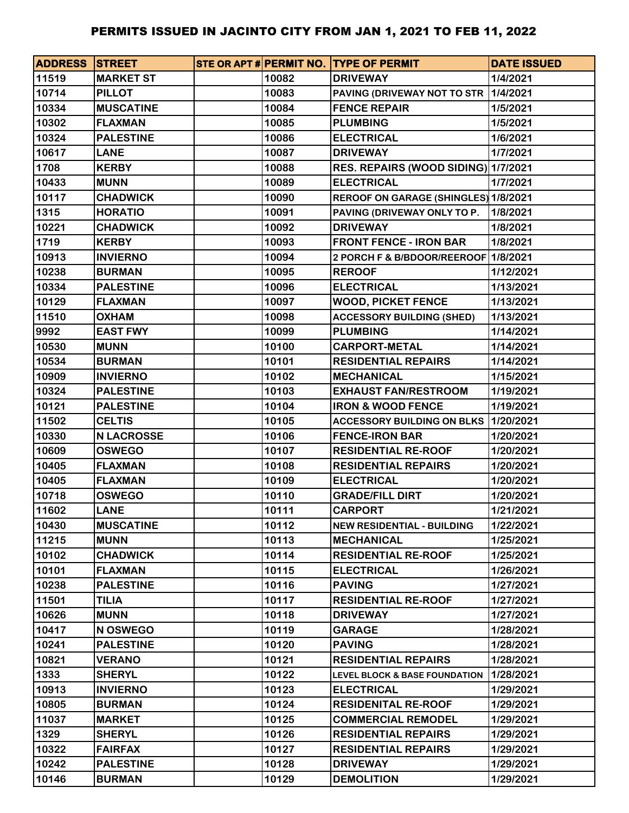| <b>ADDRESS STREET</b> |                   |       | STE OR APT # PERMIT NO. TYPE OF PERMIT   | <b>DATE ISSUED</b> |
|-----------------------|-------------------|-------|------------------------------------------|--------------------|
| 11519                 | <b>MARKET ST</b>  | 10082 | <b>DRIVEWAY</b>                          | 1/4/2021           |
| 10714                 | <b>PILLOT</b>     | 10083 | PAVING (DRIVEWAY NOT TO STR              | 1/4/2021           |
| 10334                 | <b>MUSCATINE</b>  | 10084 | <b>FENCE REPAIR</b>                      | 1/5/2021           |
| 10302                 | <b>FLAXMAN</b>    | 10085 | <b>PLUMBING</b>                          | 1/5/2021           |
| 10324                 | <b>PALESTINE</b>  | 10086 | <b>ELECTRICAL</b>                        | 1/6/2021           |
| 10617                 | <b>LANE</b>       | 10087 | <b>DRIVEWAY</b>                          | 1/7/2021           |
| 1708                  | <b>KERBY</b>      | 10088 | RES. REPAIRS (WOOD SIDING) 1/7/2021      |                    |
| 10433                 | <b>MUNN</b>       | 10089 | <b>ELECTRICAL</b>                        | 1/7/2021           |
| 10117                 | <b>CHADWICK</b>   | 10090 | REROOF ON GARAGE (SHINGLES) 1/8/2021     |                    |
| 1315                  | <b>HORATIO</b>    | 10091 | PAVING (DRIVEWAY ONLY TO P.              | 1/8/2021           |
| 10221                 | <b>CHADWICK</b>   | 10092 | <b>DRIVEWAY</b>                          | 1/8/2021           |
| 1719                  | <b>KERBY</b>      | 10093 | <b>FRONT FENCE - IRON BAR</b>            | 1/8/2021           |
| 10913                 | <b>INVIERNO</b>   | 10094 | 2 PORCH F & B/BDOOR/REEROOF 1/8/2021     |                    |
| 10238                 | <b>BURMAN</b>     | 10095 | <b>REROOF</b>                            | 1/12/2021          |
| 10334                 | <b>PALESTINE</b>  | 10096 | <b>ELECTRICAL</b>                        | 1/13/2021          |
| 10129                 | <b>FLAXMAN</b>    | 10097 | <b>WOOD, PICKET FENCE</b>                | 1/13/2021          |
| 11510                 | <b>OXHAM</b>      | 10098 | <b>ACCESSORY BUILDING (SHED)</b>         | 1/13/2021          |
| 9992                  | <b>EAST FWY</b>   | 10099 | <b>PLUMBING</b>                          | 1/14/2021          |
| 10530                 | <b>MUNN</b>       | 10100 | <b>CARPORT-METAL</b>                     | 1/14/2021          |
| 10534                 | <b>BURMAN</b>     | 10101 | <b>RESIDENTIAL REPAIRS</b>               | 1/14/2021          |
| 10909                 | <b>INVIERNO</b>   | 10102 | <b>MECHANICAL</b>                        | 1/15/2021          |
| 10324                 | <b>PALESTINE</b>  | 10103 | <b>EXHAUST FAN/RESTROOM</b>              | 1/19/2021          |
| 10121                 | <b>PALESTINE</b>  | 10104 | <b>IRON &amp; WOOD FENCE</b>             | 1/19/2021          |
| 11502                 | <b>CELTIS</b>     | 10105 | <b>ACCESSORY BUILDING ON BLKS</b>        | 1/20/2021          |
| 10330                 | <b>N LACROSSE</b> | 10106 | <b>FENCE-IRON BAR</b>                    | 1/20/2021          |
| 10609                 | <b>OSWEGO</b>     | 10107 | <b>RESIDENTIAL RE-ROOF</b>               | 1/20/2021          |
| 10405                 | <b>FLAXMAN</b>    | 10108 | <b>RESIDENTIAL REPAIRS</b>               | 1/20/2021          |
| 10405                 | <b>FLAXMAN</b>    | 10109 | <b>ELECTRICAL</b>                        | 1/20/2021          |
| 10718                 | <b>OSWEGO</b>     | 10110 | <b>GRADE/FILL DIRT</b>                   | 1/20/2021          |
| 11602                 | <b>LANE</b>       | 10111 | <b>CARPORT</b>                           | 1/21/2021          |
| 10430                 | <b>MUSCATINE</b>  | 10112 | <b>NEW RESIDENTIAL - BUILDING</b>        | 1/22/2021          |
| 11215                 | <b>MUNN</b>       | 10113 | <b>MECHANICAL</b>                        | 1/25/2021          |
| 10102                 | <b>CHADWICK</b>   | 10114 | <b>RESIDENTIAL RE-ROOF</b>               | 1/25/2021          |
| 10101                 | <b>FLAXMAN</b>    | 10115 | <b>ELECTRICAL</b>                        | 1/26/2021          |
| 10238                 | <b>PALESTINE</b>  | 10116 | <b>PAVING</b>                            | 1/27/2021          |
| 11501                 | <b>TILIA</b>      | 10117 | <b>RESIDENTIAL RE-ROOF</b>               | 1/27/2021          |
| 10626                 | <b>MUNN</b>       | 10118 | <b>DRIVEWAY</b>                          | 1/27/2021          |
| 10417                 | N OSWEGO          | 10119 | <b>GARAGE</b>                            | 1/28/2021          |
| 10241                 | <b>PALESTINE</b>  | 10120 | <b>PAVING</b>                            | 1/28/2021          |
| 10821                 | <b>VERANO</b>     | 10121 | <b>RESIDENTIAL REPAIRS</b>               | 1/28/2021          |
| 1333                  | <b>SHERYL</b>     | 10122 | <b>LEVEL BLOCK &amp; BASE FOUNDATION</b> | 1/28/2021          |
| 10913                 | <b>INVIERNO</b>   | 10123 | <b>ELECTRICAL</b>                        | 1/29/2021          |
| 10805                 | <b>BURMAN</b>     | 10124 | <b>RESIDENITAL RE-ROOF</b>               | 1/29/2021          |
| 11037                 | <b>MARKET</b>     | 10125 | <b>COMMERCIAL REMODEL</b>                | 1/29/2021          |
| 1329                  | <b>SHERYL</b>     | 10126 | <b>RESIDENTIAL REPAIRS</b>               | 1/29/2021          |
| 10322                 | <b>FAIRFAX</b>    | 10127 | <b>RESIDENTIAL REPAIRS</b>               | 1/29/2021          |
| 10242                 | <b>PALESTINE</b>  | 10128 | <b>DRIVEWAY</b>                          | 1/29/2021          |
| 10146                 | <b>BURMAN</b>     | 10129 | <b>DEMOLITION</b>                        | 1/29/2021          |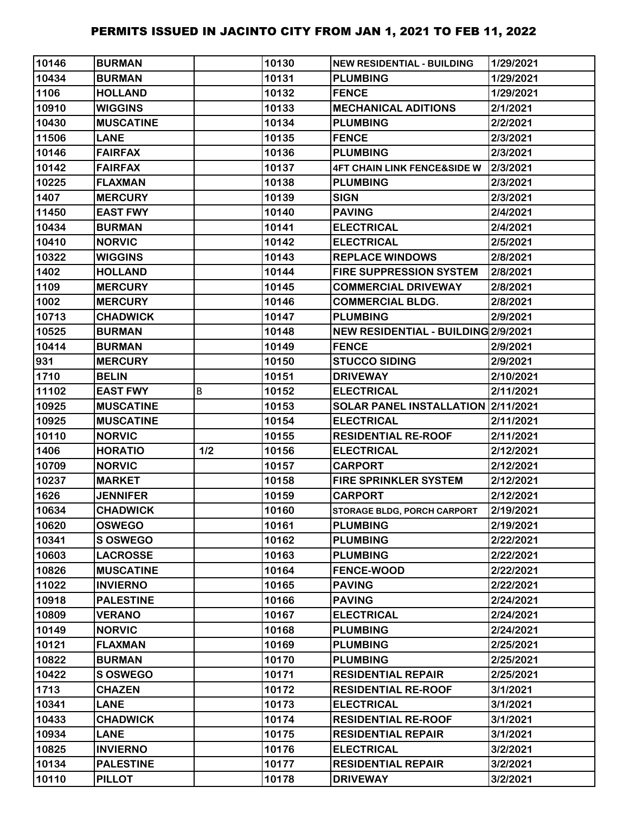| 10146 | <b>BURMAN</b>    |     | 10130 | <b>NEW RESIDENTIAL - BUILDING</b>      | 1/29/2021 |
|-------|------------------|-----|-------|----------------------------------------|-----------|
| 10434 | <b>BURMAN</b>    |     | 10131 | <b>PLUMBING</b>                        | 1/29/2021 |
| 1106  | <b>HOLLAND</b>   |     | 10132 | <b>FENCE</b>                           | 1/29/2021 |
| 10910 | <b>WIGGINS</b>   |     | 10133 | <b>MECHANICAL ADITIONS</b>             | 2/1/2021  |
| 10430 | <b>MUSCATINE</b> |     | 10134 | <b>PLUMBING</b>                        | 2/2/2021  |
| 11506 | <b>LANE</b>      |     | 10135 | <b>FENCE</b>                           | 2/3/2021  |
| 10146 | <b>FAIRFAX</b>   |     | 10136 | <b>PLUMBING</b>                        | 2/3/2021  |
| 10142 | <b>FAIRFAX</b>   |     | 10137 | <b>4FT CHAIN LINK FENCE&amp;SIDE W</b> | 2/3/2021  |
| 10225 | <b>FLAXMAN</b>   |     | 10138 | <b>PLUMBING</b>                        | 2/3/2021  |
| 1407  | <b>MERCURY</b>   |     | 10139 | <b>SIGN</b>                            | 2/3/2021  |
| 11450 | <b>EAST FWY</b>  |     | 10140 | <b>PAVING</b>                          | 2/4/2021  |
| 10434 | <b>BURMAN</b>    |     | 10141 | <b>ELECTRICAL</b>                      | 2/4/2021  |
| 10410 | <b>NORVIC</b>    |     | 10142 | <b>ELECTRICAL</b>                      | 2/5/2021  |
| 10322 | <b>WIGGINS</b>   |     | 10143 | <b>REPLACE WINDOWS</b>                 | 2/8/2021  |
| 1402  | <b>HOLLAND</b>   |     | 10144 | <b>FIRE SUPPRESSION SYSTEM</b>         | 2/8/2021  |
| 1109  | <b>MERCURY</b>   |     | 10145 | <b>COMMERCIAL DRIVEWAY</b>             | 2/8/2021  |
| 1002  | <b>MERCURY</b>   |     | 10146 | <b>COMMERCIAL BLDG.</b>                | 2/8/2021  |
| 10713 | <b>CHADWICK</b>  |     | 10147 | <b>PLUMBING</b>                        | 2/9/2021  |
| 10525 | <b>BURMAN</b>    |     | 10148 | NEW RESIDENTIAL - BUILDING 2/9/2021    |           |
| 10414 | <b>BURMAN</b>    |     | 10149 | <b>FENCE</b>                           | 2/9/2021  |
| 931   | <b>MERCURY</b>   |     | 10150 | <b>STUCCO SIDING</b>                   | 2/9/2021  |
| 1710  | <b>BELIN</b>     |     | 10151 | <b>DRIVEWAY</b>                        | 2/10/2021 |
| 11102 | <b>EAST FWY</b>  | B   | 10152 | <b>ELECTRICAL</b>                      | 2/11/2021 |
| 10925 | <b>MUSCATINE</b> |     | 10153 | SOLAR PANEL INSTALLATION 2/11/2021     |           |
| 10925 | <b>MUSCATINE</b> |     | 10154 | <b>ELECTRICAL</b>                      | 2/11/2021 |
| 10110 | <b>NORVIC</b>    |     | 10155 | <b>RESIDENTIAL RE-ROOF</b>             | 2/11/2021 |
| 1406  | <b>HORATIO</b>   | 1/2 | 10156 | <b>ELECTRICAL</b>                      | 2/12/2021 |
| 10709 | <b>NORVIC</b>    |     | 10157 | <b>CARPORT</b>                         | 2/12/2021 |
| 10237 | <b>MARKET</b>    |     | 10158 | <b>FIRE SPRINKLER SYSTEM</b>           | 2/12/2021 |
| 1626  | <b>JENNIFER</b>  |     | 10159 | <b>CARPORT</b>                         | 2/12/2021 |
| 10634 | <b>CHADWICK</b>  |     | 10160 | STORAGE BLDG, PORCH CARPORT            | 2/19/2021 |
| 10620 | <b>OSWEGO</b>    |     | 10161 | <b>PLUMBING</b>                        | 2/19/2021 |
| 10341 | <b>SOSWEGO</b>   |     | 10162 | <b>PLUMBING</b>                        | 2/22/2021 |
| 10603 | <b>LACROSSE</b>  |     | 10163 | <b>PLUMBING</b>                        | 2/22/2021 |
| 10826 | <b>MUSCATINE</b> |     | 10164 | <b>FENCE-WOOD</b>                      | 2/22/2021 |
| 11022 | <b>INVIERNO</b>  |     | 10165 | <b>PAVING</b>                          | 2/22/2021 |
| 10918 | <b>PALESTINE</b> |     | 10166 | <b>PAVING</b>                          | 2/24/2021 |
| 10809 | <b>VERANO</b>    |     | 10167 | <b>ELECTRICAL</b>                      | 2/24/2021 |
| 10149 | <b>NORVIC</b>    |     | 10168 | <b>PLUMBING</b>                        | 2/24/2021 |
| 10121 | <b>FLAXMAN</b>   |     | 10169 | <b>PLUMBING</b>                        | 2/25/2021 |
| 10822 | <b>BURMAN</b>    |     | 10170 | <b>PLUMBING</b>                        | 2/25/2021 |
| 10422 | <b>SOSWEGO</b>   |     | 10171 | <b>RESIDENTIAL REPAIR</b>              | 2/25/2021 |
| 1713  | <b>CHAZEN</b>    |     | 10172 | <b>RESIDENTIAL RE-ROOF</b>             | 3/1/2021  |
| 10341 | <b>LANE</b>      |     | 10173 | <b>ELECTRICAL</b>                      | 3/1/2021  |
| 10433 | <b>CHADWICK</b>  |     | 10174 | <b>RESIDENTIAL RE-ROOF</b>             | 3/1/2021  |
| 10934 | <b>LANE</b>      |     | 10175 | <b>RESIDENTIAL REPAIR</b>              | 3/1/2021  |
| 10825 | <b>INVIERNO</b>  |     | 10176 | <b>ELECTRICAL</b>                      | 3/2/2021  |
| 10134 | <b>PALESTINE</b> |     | 10177 | <b>RESIDENTIAL REPAIR</b>              | 3/2/2021  |
| 10110 | <b>PILLOT</b>    |     | 10178 | <b>DRIVEWAY</b>                        | 3/2/2021  |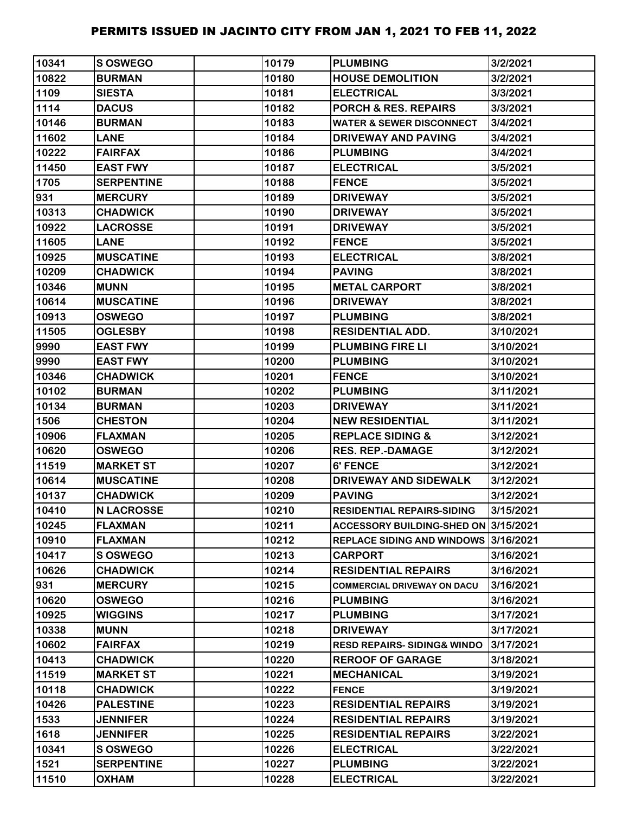| 10341 | S OSWEGO          | 10179 | <b>PLUMBING</b>                       | 3/2/2021  |
|-------|-------------------|-------|---------------------------------------|-----------|
| 10822 | <b>BURMAN</b>     | 10180 | <b>HOUSE DEMOLITION</b>               | 3/2/2021  |
| 1109  | <b>SIESTA</b>     | 10181 | <b>ELECTRICAL</b>                     | 3/3/2021  |
| 1114  | <b>DACUS</b>      | 10182 | <b>PORCH &amp; RES. REPAIRS</b>       | 3/3/2021  |
| 10146 | <b>BURMAN</b>     | 10183 | <b>WATER &amp; SEWER DISCONNECT</b>   | 3/4/2021  |
| 11602 | <b>LANE</b>       | 10184 | DRIVEWAY AND PAVING                   | 3/4/2021  |
| 10222 | <b>FAIRFAX</b>    | 10186 | <b>PLUMBING</b>                       | 3/4/2021  |
| 11450 | <b>EAST FWY</b>   | 10187 | <b>ELECTRICAL</b>                     | 3/5/2021  |
| 1705  | <b>SERPENTINE</b> | 10188 | <b>FENCE</b>                          | 3/5/2021  |
| 931   | <b>MERCURY</b>    | 10189 | <b>DRIVEWAY</b>                       | 3/5/2021  |
| 10313 | <b>CHADWICK</b>   | 10190 | <b>DRIVEWAY</b>                       | 3/5/2021  |
| 10922 | <b>LACROSSE</b>   | 10191 | <b>DRIVEWAY</b>                       | 3/5/2021  |
| 11605 | <b>LANE</b>       | 10192 | <b>FENCE</b>                          | 3/5/2021  |
| 10925 | <b>MUSCATINE</b>  | 10193 | <b>ELECTRICAL</b>                     | 3/8/2021  |
| 10209 | <b>CHADWICK</b>   | 10194 | <b>PAVING</b>                         | 3/8/2021  |
| 10346 | <b>MUNN</b>       | 10195 | <b>METAL CARPORT</b>                  | 3/8/2021  |
| 10614 | <b>MUSCATINE</b>  | 10196 | <b>DRIVEWAY</b>                       | 3/8/2021  |
| 10913 | <b>OSWEGO</b>     | 10197 | <b>PLUMBING</b>                       | 3/8/2021  |
| 11505 | <b>OGLESBY</b>    | 10198 | <b>RESIDENTIAL ADD.</b>               | 3/10/2021 |
| 9990  | <b>EAST FWY</b>   | 10199 | <b>PLUMBING FIRE LI</b>               | 3/10/2021 |
| 9990  | <b>EAST FWY</b>   | 10200 | <b>PLUMBING</b>                       | 3/10/2021 |
| 10346 | <b>CHADWICK</b>   | 10201 | <b>FENCE</b>                          | 3/10/2021 |
| 10102 | <b>BURMAN</b>     | 10202 | <b>PLUMBING</b>                       | 3/11/2021 |
| 10134 | <b>BURMAN</b>     | 10203 | <b>DRIVEWAY</b>                       | 3/11/2021 |
| 1506  | <b>CHESTON</b>    | 10204 | <b>NEW RESIDENTIAL</b>                | 3/11/2021 |
| 10906 | <b>FLAXMAN</b>    | 10205 | <b>REPLACE SIDING &amp;</b>           | 3/12/2021 |
| 10620 | <b>OSWEGO</b>     | 10206 | <b>RES. REP.-DAMAGE</b>               | 3/12/2021 |
| 11519 | <b>MARKET ST</b>  | 10207 | <b>6' FENCE</b>                       | 3/12/2021 |
| 10614 | <b>MUSCATINE</b>  | 10208 | DRIVEWAY AND SIDEWALK                 | 3/12/2021 |
| 10137 | <b>CHADWICK</b>   | 10209 | <b>PAVING</b>                         | 3/12/2021 |
| 10410 | <b>N LACROSSE</b> | 10210 | <b>RESIDENTIAL REPAIRS-SIDING</b>     | 3/15/2021 |
| 10245 | <b>FLAXMAN</b>    | 10211 | ACCESSORY BUILDING-SHED ON 3/15/2021  |           |
| 10910 | <b>FLAXMAN</b>    | 10212 | REPLACE SIDING AND WINDOWS 3/16/2021  |           |
| 10417 | S OSWEGO          | 10213 | <b>CARPORT</b>                        | 3/16/2021 |
| 10626 | <b>CHADWICK</b>   | 10214 | <b>RESIDENTIAL REPAIRS</b>            | 3/16/2021 |
| 931   | <b>MERCURY</b>    | 10215 | <b>COMMERCIAL DRIVEWAY ON DACU</b>    | 3/16/2021 |
| 10620 | <b>OSWEGO</b>     | 10216 | <b>PLUMBING</b>                       | 3/16/2021 |
| 10925 | <b>WIGGINS</b>    | 10217 | <b>PLUMBING</b>                       | 3/17/2021 |
| 10338 | <b>MUNN</b>       | 10218 | <b>DRIVEWAY</b>                       | 3/17/2021 |
| 10602 | <b>FAIRFAX</b>    | 10219 | <b>RESD REPAIRS-SIDING&amp; WINDO</b> | 3/17/2021 |
| 10413 | <b>CHADWICK</b>   | 10220 | <b>REROOF OF GARAGE</b>               | 3/18/2021 |
| 11519 | <b>MARKET ST</b>  | 10221 | <b>MECHANICAL</b>                     | 3/19/2021 |
| 10118 | <b>CHADWICK</b>   | 10222 | <b>FENCE</b>                          | 3/19/2021 |
| 10426 | <b>PALESTINE</b>  | 10223 | <b>RESIDENTIAL REPAIRS</b>            | 3/19/2021 |
| 1533  | <b>JENNIFER</b>   | 10224 | <b>RESIDENTIAL REPAIRS</b>            | 3/19/2021 |
| 1618  | <b>JENNIFER</b>   | 10225 | <b>RESIDENTIAL REPAIRS</b>            | 3/22/2021 |
| 10341 | S OSWEGO          | 10226 | <b>ELECTRICAL</b>                     | 3/22/2021 |
| 1521  | <b>SERPENTINE</b> | 10227 | <b>PLUMBING</b>                       | 3/22/2021 |
| 11510 | <b>OXHAM</b>      | 10228 | <b>ELECTRICAL</b>                     | 3/22/2021 |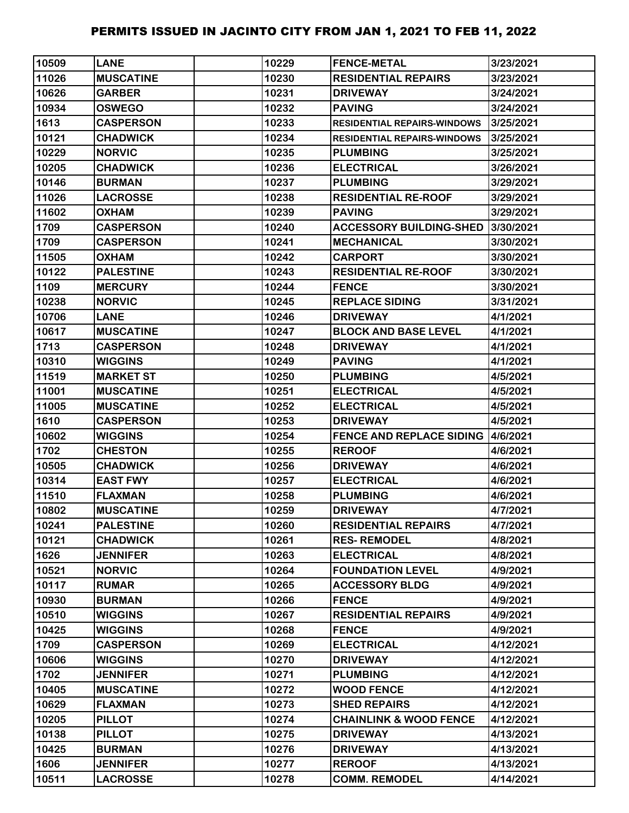| 10509 | <b>LANE</b>      | 10229 | <b>FENCE-METAL</b>                        | 3/23/2021 |
|-------|------------------|-------|-------------------------------------------|-----------|
| 11026 | <b>MUSCATINE</b> | 10230 | <b>RESIDENTIAL REPAIRS</b>                | 3/23/2021 |
| 10626 | <b>GARBER</b>    | 10231 | <b>DRIVEWAY</b>                           | 3/24/2021 |
| 10934 | <b>OSWEGO</b>    | 10232 | <b>PAVING</b>                             | 3/24/2021 |
| 1613  | <b>CASPERSON</b> | 10233 | <b>RESIDENTIAL REPAIRS-WINDOWS</b>        | 3/25/2021 |
| 10121 | <b>CHADWICK</b>  | 10234 | <b>RESIDENTIAL REPAIRS-WINDOWS</b>        | 3/25/2021 |
| 10229 | <b>NORVIC</b>    | 10235 | <b>PLUMBING</b>                           | 3/25/2021 |
| 10205 | <b>CHADWICK</b>  | 10236 | <b>ELECTRICAL</b>                         | 3/26/2021 |
| 10146 | <b>BURMAN</b>    | 10237 | <b>PLUMBING</b>                           | 3/29/2021 |
| 11026 | <b>LACROSSE</b>  | 10238 | <b>RESIDENTIAL RE-ROOF</b>                | 3/29/2021 |
| 11602 | <b>OXHAM</b>     | 10239 | <b>PAVING</b>                             | 3/29/2021 |
| 1709  | <b>CASPERSON</b> | 10240 | <b>ACCESSORY BUILDING-SHED</b>            | 3/30/2021 |
| 1709  | <b>CASPERSON</b> | 10241 | <b>MECHANICAL</b>                         | 3/30/2021 |
| 11505 | <b>OXHAM</b>     | 10242 | <b>CARPORT</b>                            | 3/30/2021 |
| 10122 | <b>PALESTINE</b> | 10243 | <b>RESIDENTIAL RE-ROOF</b>                | 3/30/2021 |
| 1109  | <b>MERCURY</b>   | 10244 | <b>FENCE</b>                              | 3/30/2021 |
| 10238 | <b>NORVIC</b>    | 10245 | <b>REPLACE SIDING</b>                     | 3/31/2021 |
| 10706 | <b>LANE</b>      | 10246 | <b>DRIVEWAY</b>                           | 4/1/2021  |
| 10617 | <b>MUSCATINE</b> | 10247 | <b>BLOCK AND BASE LEVEL</b>               | 4/1/2021  |
| 1713  | <b>CASPERSON</b> | 10248 | <b>DRIVEWAY</b>                           | 4/1/2021  |
| 10310 | <b>WIGGINS</b>   | 10249 | <b>PAVING</b>                             | 4/1/2021  |
| 11519 | <b>MARKET ST</b> | 10250 | <b>PLUMBING</b>                           | 4/5/2021  |
| 11001 | <b>MUSCATINE</b> | 10251 | <b>ELECTRICAL</b>                         | 4/5/2021  |
| 11005 | <b>MUSCATINE</b> | 10252 | <b>ELECTRICAL</b>                         | 4/5/2021  |
| 1610  | <b>CASPERSON</b> | 10253 | <b>DRIVEWAY</b>                           | 4/5/2021  |
| 10602 | <b>WIGGINS</b>   | 10254 | <b>FENCE AND REPLACE SIDING 14/6/2021</b> |           |
| 1702  | <b>CHESTON</b>   | 10255 | <b>REROOF</b>                             | 4/6/2021  |
| 10505 | <b>CHADWICK</b>  | 10256 | <b>DRIVEWAY</b>                           | 4/6/2021  |
| 10314 | <b>EAST FWY</b>  | 10257 | <b>ELECTRICAL</b>                         | 4/6/2021  |
| 11510 | <b>FLAXMAN</b>   | 10258 | <b>PLUMBING</b>                           | 4/6/2021  |
| 10802 | <b>MUSCATINE</b> | 10259 | <b>DRIVEWAY</b>                           | 4/7/2021  |
| 10241 | <b>PALESTINE</b> | 10260 | <b>RESIDENTIAL REPAIRS</b>                | 4/7/2021  |
| 10121 | <b>CHADWICK</b>  | 10261 | <b>RES-REMODEL</b>                        | 4/8/2021  |
| 1626  | <b>JENNIFER</b>  | 10263 | <b>ELECTRICAL</b>                         | 4/8/2021  |
| 10521 | <b>NORVIC</b>    | 10264 | <b>FOUNDATION LEVEL</b>                   | 4/9/2021  |
| 10117 | <b>RUMAR</b>     | 10265 | <b>ACCESSORY BLDG</b>                     | 4/9/2021  |
| 10930 | <b>BURMAN</b>    | 10266 | <b>FENCE</b>                              | 4/9/2021  |
| 10510 | <b>WIGGINS</b>   | 10267 | <b>RESIDENTIAL REPAIRS</b>                | 4/9/2021  |
| 10425 | <b>WIGGINS</b>   | 10268 | <b>FENCE</b>                              | 4/9/2021  |
| 1709  | <b>CASPERSON</b> | 10269 | <b>ELECTRICAL</b>                         | 4/12/2021 |
| 10606 | <b>WIGGINS</b>   | 10270 | <b>DRIVEWAY</b>                           | 4/12/2021 |
| 1702  | <b>JENNIFER</b>  | 10271 | <b>PLUMBING</b>                           | 4/12/2021 |
| 10405 | <b>MUSCATINE</b> | 10272 | <b>WOOD FENCE</b>                         | 4/12/2021 |
| 10629 | <b>FLAXMAN</b>   | 10273 | <b>SHED REPAIRS</b>                       | 4/12/2021 |
| 10205 | <b>PILLOT</b>    | 10274 | <b>CHAINLINK &amp; WOOD FENCE</b>         | 4/12/2021 |
| 10138 | <b>PILLOT</b>    | 10275 | <b>DRIVEWAY</b>                           | 4/13/2021 |
| 10425 | <b>BURMAN</b>    | 10276 | <b>DRIVEWAY</b>                           | 4/13/2021 |
| 1606  | <b>JENNIFER</b>  | 10277 | <b>REROOF</b>                             | 4/13/2021 |
| 10511 | <b>LACROSSE</b>  | 10278 | <b>COMM. REMODEL</b>                      | 4/14/2021 |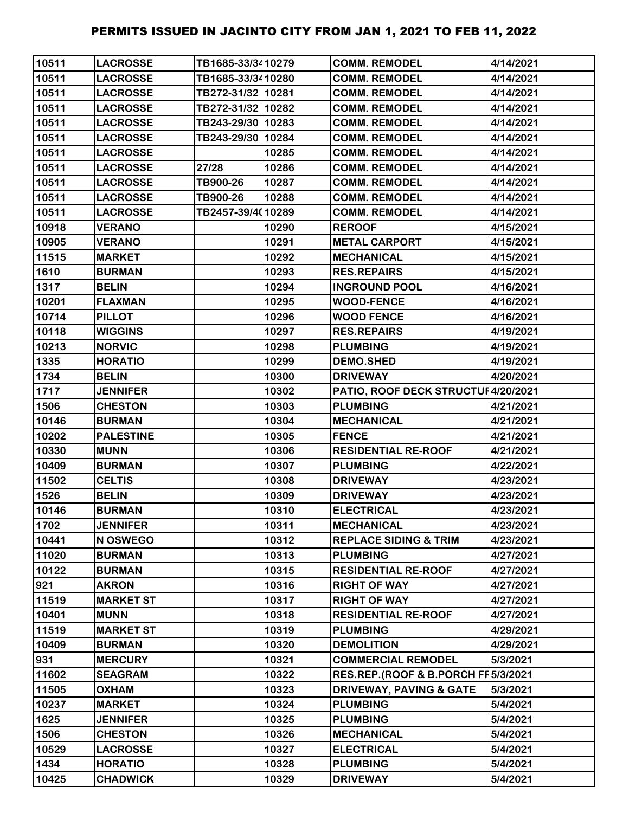| 10511 | <b>LACROSSE</b>  | TB1685-33/3410279 |       | <b>COMM. REMODEL</b>                | 4/14/2021 |
|-------|------------------|-------------------|-------|-------------------------------------|-----------|
| 10511 | <b>LACROSSE</b>  | TB1685-33/3410280 |       | <b>COMM. REMODEL</b>                | 4/14/2021 |
| 10511 | <b>LACROSSE</b>  | TB272-31/32 10281 |       | <b>COMM. REMODEL</b>                | 4/14/2021 |
| 10511 | <b>LACROSSE</b>  | TB272-31/32 10282 |       | <b>COMM. REMODEL</b>                | 4/14/2021 |
| 10511 | <b>LACROSSE</b>  | TB243-29/30 10283 |       | <b>COMM. REMODEL</b>                | 4/14/2021 |
| 10511 | <b>LACROSSE</b>  | TB243-29/30 10284 |       | <b>COMM. REMODEL</b>                | 4/14/2021 |
| 10511 | <b>LACROSSE</b>  |                   | 10285 | <b>COMM. REMODEL</b>                | 4/14/2021 |
| 10511 | <b>LACROSSE</b>  | 27/28             | 10286 | <b>COMM. REMODEL</b>                | 4/14/2021 |
| 10511 | <b>LACROSSE</b>  | TB900-26          | 10287 | <b>COMM. REMODEL</b>                | 4/14/2021 |
| 10511 | <b>LACROSSE</b>  | TB900-26          | 10288 | <b>COMM. REMODEL</b>                | 4/14/2021 |
| 10511 | <b>LACROSSE</b>  | TB2457-39/4010289 |       | <b>COMM. REMODEL</b>                | 4/14/2021 |
| 10918 | <b>VERANO</b>    |                   | 10290 | <b>REROOF</b>                       | 4/15/2021 |
| 10905 | <b>VERANO</b>    |                   | 10291 | <b>METAL CARPORT</b>                | 4/15/2021 |
| 11515 | <b>MARKET</b>    |                   | 10292 | <b>MECHANICAL</b>                   | 4/15/2021 |
| 1610  | <b>BURMAN</b>    |                   | 10293 | <b>RES.REPAIRS</b>                  | 4/15/2021 |
| 1317  | <b>BELIN</b>     |                   | 10294 | <b>INGROUND POOL</b>                | 4/16/2021 |
| 10201 | <b>FLAXMAN</b>   |                   | 10295 | <b>WOOD-FENCE</b>                   | 4/16/2021 |
| 10714 | <b>PILLOT</b>    |                   | 10296 | <b>WOOD FENCE</b>                   | 4/16/2021 |
| 10118 | <b>WIGGINS</b>   |                   | 10297 | <b>RES.REPAIRS</b>                  | 4/19/2021 |
| 10213 | <b>NORVIC</b>    |                   | 10298 | <b>PLUMBING</b>                     | 4/19/2021 |
| 1335  | <b>HORATIO</b>   |                   | 10299 | <b>DEMO.SHED</b>                    | 4/19/2021 |
| 1734  | <b>BELIN</b>     |                   | 10300 | <b>DRIVEWAY</b>                     | 4/20/2021 |
| 1717  | <b>JENNIFER</b>  |                   | 10302 | PATIO, ROOF DECK STRUCTUI 4/20/2021 |           |
| 1506  | <b>CHESTON</b>   |                   | 10303 | <b>PLUMBING</b>                     | 4/21/2021 |
| 10146 | <b>BURMAN</b>    |                   | 10304 | <b>MECHANICAL</b>                   | 4/21/2021 |
| 10202 | <b>PALESTINE</b> |                   | 10305 | <b>FENCE</b>                        | 4/21/2021 |
| 10330 | <b>MUNN</b>      |                   | 10306 | <b>RESIDENTIAL RE-ROOF</b>          | 4/21/2021 |
| 10409 | <b>BURMAN</b>    |                   | 10307 | <b>PLUMBING</b>                     | 4/22/2021 |
| 11502 | <b>CELTIS</b>    |                   | 10308 | <b>DRIVEWAY</b>                     | 4/23/2021 |
| 1526  | <b>BELIN</b>     |                   | 10309 | <b>DRIVEWAY</b>                     | 4/23/2021 |
| 10146 | <b>BURMAN</b>    |                   | 10310 | <b>ELECTRICAL</b>                   | 4/23/2021 |
| 1702  | <b>JENNIFER</b>  |                   | 10311 | <b>MECHANICAL</b>                   | 4/23/2021 |
| 10441 | N OSWEGO         |                   | 10312 | <b>REPLACE SIDING &amp; TRIM</b>    | 4/23/2021 |
| 11020 | <b>BURMAN</b>    |                   | 10313 | <b>PLUMBING</b>                     | 4/27/2021 |
| 10122 | <b>BURMAN</b>    |                   | 10315 | <b>RESIDENTIAL RE-ROOF</b>          | 4/27/2021 |
| 921   | <b>AKRON</b>     |                   | 10316 | <b>RIGHT OF WAY</b>                 | 4/27/2021 |
| 11519 | <b>MARKET ST</b> |                   | 10317 | <b>RIGHT OF WAY</b>                 | 4/27/2021 |
| 10401 | <b>MUNN</b>      |                   | 10318 | <b>RESIDENTIAL RE-ROOF</b>          | 4/27/2021 |
| 11519 | <b>MARKET ST</b> |                   | 10319 | <b>PLUMBING</b>                     | 4/29/2021 |
| 10409 | <b>BURMAN</b>    |                   | 10320 | <b>DEMOLITION</b>                   | 4/29/2021 |
| 931   | <b>MERCURY</b>   |                   | 10321 | <b>COMMERCIAL REMODEL</b>           | 5/3/2021  |
| 11602 | <b>SEAGRAM</b>   |                   | 10322 | RES.REP.(ROOF & B.PORCH FF 5/3/2021 |           |
| 11505 | <b>OXHAM</b>     |                   | 10323 | <b>DRIVEWAY, PAVING &amp; GATE</b>  | 5/3/2021  |
| 10237 | <b>MARKET</b>    |                   | 10324 | <b>PLUMBING</b>                     | 5/4/2021  |
| 1625  | <b>JENNIFER</b>  |                   | 10325 | <b>PLUMBING</b>                     | 5/4/2021  |
| 1506  | <b>CHESTON</b>   |                   | 10326 | <b>MECHANICAL</b>                   | 5/4/2021  |
| 10529 | <b>LACROSSE</b>  |                   | 10327 | <b>ELECTRICAL</b>                   | 5/4/2021  |
| 1434  | <b>HORATIO</b>   |                   | 10328 | <b>PLUMBING</b>                     | 5/4/2021  |
| 10425 | <b>CHADWICK</b>  |                   | 10329 | <b>DRIVEWAY</b>                     | 5/4/2021  |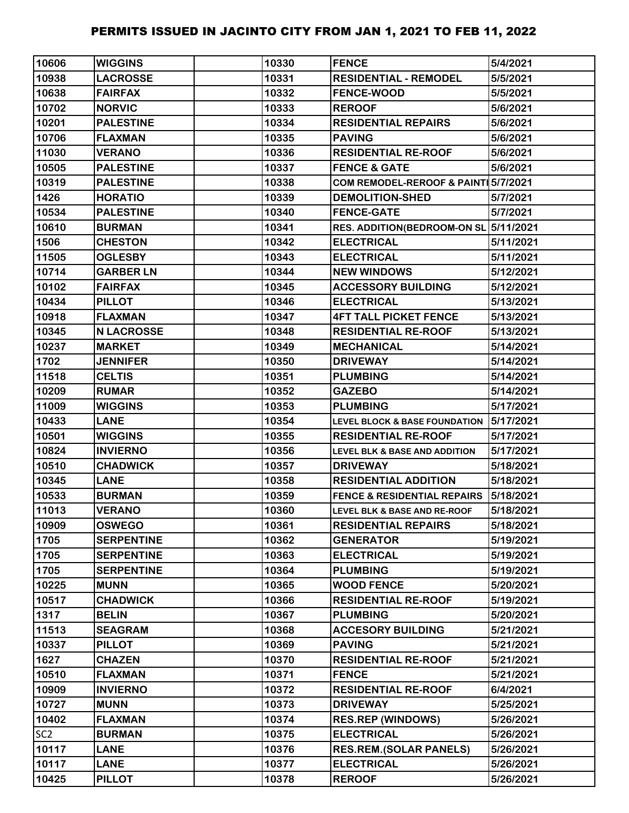| 10606           | <b>WIGGINS</b>    | 10330 | <b>FENCE</b>                             | 5/4/2021  |
|-----------------|-------------------|-------|------------------------------------------|-----------|
| 10938           | <b>LACROSSE</b>   | 10331 | <b>RESIDENTIAL - REMODEL</b>             | 5/5/2021  |
| 10638           | <b>FAIRFAX</b>    | 10332 | <b>FENCE-WOOD</b>                        | 5/5/2021  |
| 10702           | <b>NORVIC</b>     | 10333 | <b>REROOF</b>                            | 5/6/2021  |
| 10201           | <b>PALESTINE</b>  | 10334 | <b>RESIDENTIAL REPAIRS</b>               | 5/6/2021  |
| 10706           | <b>FLAXMAN</b>    | 10335 | <b>PAVING</b>                            | 5/6/2021  |
| 11030           | <b>VERANO</b>     | 10336 | <b>RESIDENTIAL RE-ROOF</b>               | 5/6/2021  |
| 10505           | <b>PALESTINE</b>  | 10337 | <b>FENCE &amp; GATE</b>                  | 5/6/2021  |
| 10319           | <b>PALESTINE</b>  | 10338 | COM REMODEL-REROOF & PAINT 5/7/2021      |           |
| 1426            | <b>HORATIO</b>    | 10339 | <b>DEMOLITION-SHED</b>                   | 5/7/2021  |
| 10534           | <b>PALESTINE</b>  | 10340 | <b>FENCE-GATE</b>                        | 5/7/2021  |
| 10610           | <b>BURMAN</b>     | 10341 | RES. ADDITION(BEDROOM-ON SL 5/11/2021    |           |
| 1506            | <b>CHESTON</b>    | 10342 | <b>ELECTRICAL</b>                        | 5/11/2021 |
| 11505           | <b>OGLESBY</b>    | 10343 | <b>ELECTRICAL</b>                        | 5/11/2021 |
| 10714           | <b>GARBER LN</b>  | 10344 | <b>NEW WINDOWS</b>                       | 5/12/2021 |
| 10102           | <b>FAIRFAX</b>    | 10345 | <b>ACCESSORY BUILDING</b>                | 5/12/2021 |
| 10434           | <b>PILLOT</b>     | 10346 | <b>ELECTRICAL</b>                        | 5/13/2021 |
| 10918           | <b>FLAXMAN</b>    | 10347 | <b>4FT TALL PICKET FENCE</b>             | 5/13/2021 |
| 10345           | <b>N LACROSSE</b> | 10348 | <b>RESIDENTIAL RE-ROOF</b>               | 5/13/2021 |
| 10237           | <b>MARKET</b>     | 10349 | <b>MECHANICAL</b>                        | 5/14/2021 |
| 1702            | <b>JENNIFER</b>   | 10350 | <b>DRIVEWAY</b>                          | 5/14/2021 |
| 11518           | <b>CELTIS</b>     | 10351 | <b>PLUMBING</b>                          | 5/14/2021 |
| 10209           | <b>RUMAR</b>      | 10352 | <b>GAZEBO</b>                            | 5/14/2021 |
| 11009           | <b>WIGGINS</b>    | 10353 | <b>PLUMBING</b>                          | 5/17/2021 |
| 10433           | <b>LANE</b>       | 10354 | <b>LEVEL BLOCK &amp; BASE FOUNDATION</b> | 5/17/2021 |
| 10501           | <b>WIGGINS</b>    | 10355 | <b>RESIDENTIAL RE-ROOF</b>               | 5/17/2021 |
| 10824           | <b>INVIERNO</b>   | 10356 | <b>LEVEL BLK &amp; BASE AND ADDITION</b> | 5/17/2021 |
| 10510           | <b>CHADWICK</b>   | 10357 | <b>DRIVEWAY</b>                          | 5/18/2021 |
| 10345           | <b>LANE</b>       | 10358 | <b>RESIDENTIAL ADDITION</b>              | 5/18/2021 |
| 10533           | <b>BURMAN</b>     | 10359 | <b>FENCE &amp; RESIDENTIAL REPAIRS</b>   | 5/18/2021 |
| 11013           | <b>VERANO</b>     | 10360 | LEVEL BLK & BASE AND RE-ROOF             | 5/18/2021 |
| 10909           | <b>OSWEGO</b>     | 10361 | <b>RESIDENTIAL REPAIRS</b>               | 5/18/2021 |
| 1705            | <b>SERPENTINE</b> | 10362 | <b>GENERATOR</b>                         | 5/19/2021 |
| 1705            | <b>SERPENTINE</b> | 10363 | <b>ELECTRICAL</b>                        | 5/19/2021 |
| 1705            | <b>SERPENTINE</b> | 10364 | <b>PLUMBING</b>                          | 5/19/2021 |
| 10225           | <b>MUNN</b>       | 10365 | <b>WOOD FENCE</b>                        | 5/20/2021 |
| 10517           | <b>CHADWICK</b>   | 10366 | <b>RESIDENTIAL RE-ROOF</b>               | 5/19/2021 |
| 1317            | <b>BELIN</b>      | 10367 | <b>PLUMBING</b>                          | 5/20/2021 |
| 11513           | <b>SEAGRAM</b>    | 10368 | <b>ACCESORY BUILDING</b>                 | 5/21/2021 |
| 10337           | <b>PILLOT</b>     | 10369 | <b>PAVING</b>                            | 5/21/2021 |
| 1627            | <b>CHAZEN</b>     | 10370 | <b>RESIDENTIAL RE-ROOF</b>               | 5/21/2021 |
| 10510           | <b>FLAXMAN</b>    | 10371 | <b>FENCE</b>                             | 5/21/2021 |
| 10909           | <b>INVIERNO</b>   | 10372 | <b>RESIDENTIAL RE-ROOF</b>               | 6/4/2021  |
| 10727           | <b>MUNN</b>       | 10373 | <b>DRIVEWAY</b>                          | 5/25/2021 |
| 10402           | <b>FLAXMAN</b>    | 10374 | <b>RES.REP (WINDOWS)</b>                 | 5/26/2021 |
| SC <sub>2</sub> | <b>BURMAN</b>     | 10375 | <b>ELECTRICAL</b>                        | 5/26/2021 |
| 10117           | <b>LANE</b>       | 10376 | <b>RES.REM.(SOLAR PANELS)</b>            | 5/26/2021 |
| 10117           | <b>LANE</b>       | 10377 | <b>ELECTRICAL</b>                        | 5/26/2021 |
| 10425           | <b>PILLOT</b>     | 10378 | <b>REROOF</b>                            | 5/26/2021 |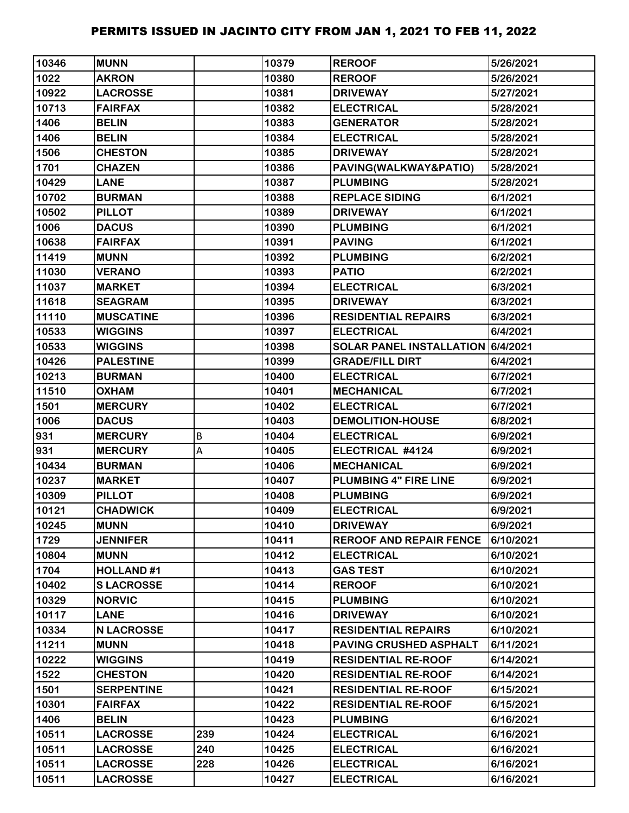| 10346 | <b>MUNN</b>       |     | 10379 | <b>REROOF</b>                     | 5/26/2021 |
|-------|-------------------|-----|-------|-----------------------------------|-----------|
| 1022  | <b>AKRON</b>      |     | 10380 | <b>REROOF</b>                     | 5/26/2021 |
| 10922 | <b>LACROSSE</b>   |     | 10381 | <b>DRIVEWAY</b>                   | 5/27/2021 |
| 10713 | <b>FAIRFAX</b>    |     | 10382 | <b>ELECTRICAL</b>                 | 5/28/2021 |
| 1406  | <b>BELIN</b>      |     | 10383 | <b>GENERATOR</b>                  | 5/28/2021 |
| 1406  | <b>BELIN</b>      |     | 10384 | <b>ELECTRICAL</b>                 | 5/28/2021 |
| 1506  | <b>CHESTON</b>    |     | 10385 | <b>DRIVEWAY</b>                   | 5/28/2021 |
| 1701  | <b>CHAZEN</b>     |     | 10386 | PAVING(WALKWAY&PATIO)             | 5/28/2021 |
| 10429 | <b>LANE</b>       |     | 10387 | <b>PLUMBING</b>                   | 5/28/2021 |
| 10702 | <b>BURMAN</b>     |     | 10388 | <b>REPLACE SIDING</b>             | 6/1/2021  |
| 10502 | <b>PILLOT</b>     |     | 10389 | <b>DRIVEWAY</b>                   | 6/1/2021  |
| 1006  | <b>DACUS</b>      |     | 10390 | <b>PLUMBING</b>                   | 6/1/2021  |
| 10638 | <b>FAIRFAX</b>    |     | 10391 | <b>PAVING</b>                     | 6/1/2021  |
| 11419 | <b>MUNN</b>       |     | 10392 | <b>PLUMBING</b>                   | 6/2/2021  |
| 11030 | <b>VERANO</b>     |     | 10393 | <b>PATIO</b>                      | 6/2/2021  |
| 11037 | <b>MARKET</b>     |     | 10394 | <b>ELECTRICAL</b>                 | 6/3/2021  |
| 11618 | <b>SEAGRAM</b>    |     | 10395 | <b>DRIVEWAY</b>                   | 6/3/2021  |
| 11110 | <b>MUSCATINE</b>  |     | 10396 | <b>RESIDENTIAL REPAIRS</b>        | 6/3/2021  |
| 10533 | <b>WIGGINS</b>    |     | 10397 | <b>ELECTRICAL</b>                 | 6/4/2021  |
| 10533 | <b>WIGGINS</b>    |     | 10398 | SOLAR PANEL INSTALLATION 6/4/2021 |           |
| 10426 | <b>PALESTINE</b>  |     | 10399 | <b>GRADE/FILL DIRT</b>            | 6/4/2021  |
| 10213 | <b>BURMAN</b>     |     | 10400 | <b>ELECTRICAL</b>                 | 6/7/2021  |
| 11510 | <b>OXHAM</b>      |     | 10401 | <b>MECHANICAL</b>                 | 6/7/2021  |
| 1501  | <b>MERCURY</b>    |     | 10402 | <b>ELECTRICAL</b>                 | 6/7/2021  |
| 1006  | <b>DACUS</b>      |     | 10403 | <b>DEMOLITION-HOUSE</b>           | 6/8/2021  |
| 931   | <b>MERCURY</b>    | B   | 10404 | <b>ELECTRICAL</b>                 | 6/9/2021  |
| 931   | <b>MERCURY</b>    | Α   | 10405 | ELECTRICAL #4124                  | 6/9/2021  |
| 10434 | <b>BURMAN</b>     |     | 10406 | <b>MECHANICAL</b>                 | 6/9/2021  |
| 10237 | <b>MARKET</b>     |     | 10407 | <b>PLUMBING 4" FIRE LINE</b>      | 6/9/2021  |
| 10309 | <b>PILLOT</b>     |     | 10408 | <b>PLUMBING</b>                   | 6/9/2021  |
| 10121 | <b>CHADWICK</b>   |     | 10409 | <b>ELECTRICAL</b>                 | 6/9/2021  |
| 10245 | <b>MUNN</b>       |     | 10410 | <b>DRIVEWAY</b>                   | 6/9/2021  |
| 1729  | <b>JENNIFER</b>   |     | 10411 | <b>REROOF AND REPAIR FENCE</b>    | 6/10/2021 |
| 10804 | <b>MUNN</b>       |     | 10412 | <b>ELECTRICAL</b>                 | 6/10/2021 |
| 1704  | <b>HOLLAND#1</b>  |     | 10413 | <b>GAS TEST</b>                   | 6/10/2021 |
| 10402 | <b>SLACROSSE</b>  |     | 10414 | <b>REROOF</b>                     | 6/10/2021 |
| 10329 | <b>NORVIC</b>     |     | 10415 | <b>PLUMBING</b>                   | 6/10/2021 |
| 10117 | <b>LANE</b>       |     | 10416 | <b>DRIVEWAY</b>                   | 6/10/2021 |
| 10334 | <b>N LACROSSE</b> |     | 10417 | <b>RESIDENTIAL REPAIRS</b>        | 6/10/2021 |
| 11211 | <b>MUNN</b>       |     | 10418 | <b>PAVING CRUSHED ASPHALT</b>     | 6/11/2021 |
| 10222 | <b>WIGGINS</b>    |     | 10419 | <b>RESIDENTIAL RE-ROOF</b>        | 6/14/2021 |
| 1522  | <b>CHESTON</b>    |     | 10420 | <b>RESIDENTIAL RE-ROOF</b>        | 6/14/2021 |
| 1501  | <b>SERPENTINE</b> |     | 10421 | <b>RESIDENTIAL RE-ROOF</b>        | 6/15/2021 |
| 10301 | <b>FAIRFAX</b>    |     | 10422 | <b>RESIDENTIAL RE-ROOF</b>        | 6/15/2021 |
| 1406  | <b>BELIN</b>      |     | 10423 | <b>PLUMBING</b>                   | 6/16/2021 |
| 10511 | <b>LACROSSE</b>   | 239 | 10424 | <b>ELECTRICAL</b>                 | 6/16/2021 |
| 10511 | <b>LACROSSE</b>   | 240 | 10425 | <b>ELECTRICAL</b>                 | 6/16/2021 |
| 10511 | <b>LACROSSE</b>   | 228 | 10426 | <b>ELECTRICAL</b>                 | 6/16/2021 |
| 10511 | <b>LACROSSE</b>   |     | 10427 | <b>ELECTRICAL</b>                 | 6/16/2021 |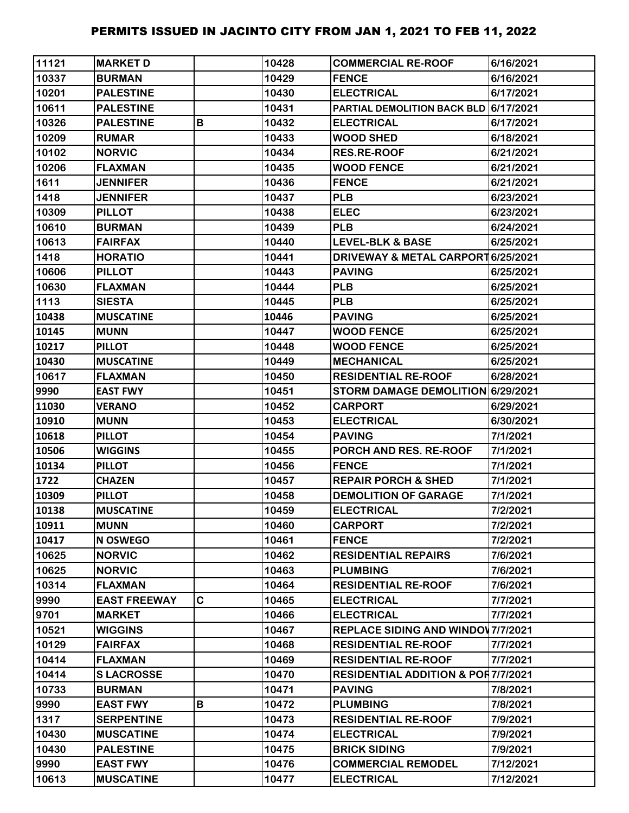| 11121 | <b>MARKET D</b>     |   | 10428 | <b>COMMERCIAL RE-ROOF</b>                     | 6/16/2021 |
|-------|---------------------|---|-------|-----------------------------------------------|-----------|
| 10337 | <b>BURMAN</b>       |   | 10429 | <b>FENCE</b>                                  | 6/16/2021 |
| 10201 | <b>PALESTINE</b>    |   | 10430 | <b>ELECTRICAL</b>                             | 6/17/2021 |
| 10611 | <b>PALESTINE</b>    |   | 10431 | PARTIAL DEMOLITION BACK BLD 6/17/2021         |           |
| 10326 | <b>PALESTINE</b>    | В | 10432 | <b>ELECTRICAL</b>                             | 6/17/2021 |
| 10209 | <b>RUMAR</b>        |   | 10433 | <b>WOOD SHED</b>                              | 6/18/2021 |
| 10102 | <b>NORVIC</b>       |   | 10434 | <b>RES.RE-ROOF</b>                            | 6/21/2021 |
| 10206 | <b>FLAXMAN</b>      |   | 10435 | <b>WOOD FENCE</b>                             | 6/21/2021 |
| 1611  | <b>JENNIFER</b>     |   | 10436 | <b>FENCE</b>                                  | 6/21/2021 |
| 1418  | <b>JENNIFER</b>     |   | 10437 | <b>PLB</b>                                    | 6/23/2021 |
| 10309 | <b>PILLOT</b>       |   | 10438 | <b>ELEC</b>                                   | 6/23/2021 |
| 10610 | <b>BURMAN</b>       |   | 10439 | <b>PLB</b>                                    | 6/24/2021 |
| 10613 | <b>FAIRFAX</b>      |   | 10440 | LEVEL-BLK & BASE                              | 6/25/2021 |
| 1418  | <b>HORATIO</b>      |   | 10441 | DRIVEWAY & METAL CARPORT 6/25/2021            |           |
| 10606 | <b>PILLOT</b>       |   | 10443 | <b>PAVING</b>                                 | 6/25/2021 |
| 10630 | <b>FLAXMAN</b>      |   | 10444 | <b>PLB</b>                                    | 6/25/2021 |
| 1113  | <b>SIESTA</b>       |   | 10445 | <b>PLB</b>                                    | 6/25/2021 |
| 10438 | <b>MUSCATINE</b>    |   | 10446 | <b>PAVING</b>                                 | 6/25/2021 |
| 10145 | <b>MUNN</b>         |   | 10447 | <b>WOOD FENCE</b>                             | 6/25/2021 |
| 10217 | <b>PILLOT</b>       |   | 10448 | <b>WOOD FENCE</b>                             | 6/25/2021 |
| 10430 | <b>MUSCATINE</b>    |   | 10449 | <b>MECHANICAL</b>                             | 6/25/2021 |
| 10617 | <b>FLAXMAN</b>      |   | 10450 | <b>RESIDENTIAL RE-ROOF</b>                    | 6/28/2021 |
| 9990  | <b>EAST FWY</b>     |   | 10451 | STORM DAMAGE DEMOLITION 6/29/2021             |           |
| 11030 | <b>VERANO</b>       |   | 10452 | <b>CARPORT</b>                                | 6/29/2021 |
| 10910 | <b>MUNN</b>         |   | 10453 | <b>ELECTRICAL</b>                             | 6/30/2021 |
| 10618 | <b>PILLOT</b>       |   | 10454 | <b>PAVING</b>                                 | 7/1/2021  |
| 10506 | <b>WIGGINS</b>      |   | 10455 | PORCH AND RES. RE-ROOF                        | 7/1/2021  |
| 10134 | <b>PILLOT</b>       |   | 10456 | <b>FENCE</b>                                  | 7/1/2021  |
| 1722  | <b>CHAZEN</b>       |   | 10457 | <b>REPAIR PORCH &amp; SHED</b>                | 7/1/2021  |
| 10309 | <b>PILLOT</b>       |   | 10458 | <b>DEMOLITION OF GARAGE</b>                   | 7/1/2021  |
| 10138 | <b>MUSCATINE</b>    |   | 10459 | <b>ELECTRICAL</b>                             | 7/2/2021  |
| 10911 | <b>MUNN</b>         |   | 10460 | <b>CARPORT</b>                                | 7/2/2021  |
| 10417 | <b>N OSWEGO</b>     |   | 10461 | <b>FENCE</b>                                  | 7/2/2021  |
| 10625 | <b>NORVIC</b>       |   | 10462 | <b>RESIDENTIAL REPAIRS</b>                    | 7/6/2021  |
| 10625 | <b>NORVIC</b>       |   | 10463 | <b>PLUMBING</b>                               | 7/6/2021  |
| 10314 | <b>FLAXMAN</b>      |   | 10464 | <b>RESIDENTIAL RE-ROOF</b>                    | 7/6/2021  |
| 9990  | <b>EAST FREEWAY</b> | C | 10465 | <b>ELECTRICAL</b>                             | 7/7/2021  |
| 9701  | <b>MARKET</b>       |   | 10466 | <b>ELECTRICAL</b>                             | 7/7/2021  |
| 10521 | <b>WIGGINS</b>      |   | 10467 | <b>REPLACE SIDING AND WINDOW 7/7/2021</b>     |           |
| 10129 | <b>FAIRFAX</b>      |   | 10468 | <b>RESIDENTIAL RE-ROOF</b>                    | 7/7/2021  |
| 10414 | <b>FLAXMAN</b>      |   | 10469 | <b>RESIDENTIAL RE-ROOF</b>                    | 7/7/2021  |
| 10414 | <b>SLACROSSE</b>    |   | 10470 | <b>RESIDENTIAL ADDITION &amp; POR7/7/2021</b> |           |
| 10733 | <b>BURMAN</b>       |   | 10471 | <b>PAVING</b>                                 | 7/8/2021  |
| 9990  | <b>EAST FWY</b>     | В | 10472 | <b>PLUMBING</b>                               | 7/8/2021  |
| 1317  | <b>SERPENTINE</b>   |   | 10473 | <b>RESIDENTIAL RE-ROOF</b>                    | 7/9/2021  |
| 10430 | <b>MUSCATINE</b>    |   | 10474 | <b>ELECTRICAL</b>                             | 7/9/2021  |
| 10430 | <b>PALESTINE</b>    |   | 10475 | <b>BRICK SIDING</b>                           | 7/9/2021  |
| 9990  | <b>EAST FWY</b>     |   | 10476 | <b>COMMERCIAL REMODEL</b>                     | 7/12/2021 |
| 10613 | <b>MUSCATINE</b>    |   | 10477 | <b>ELECTRICAL</b>                             | 7/12/2021 |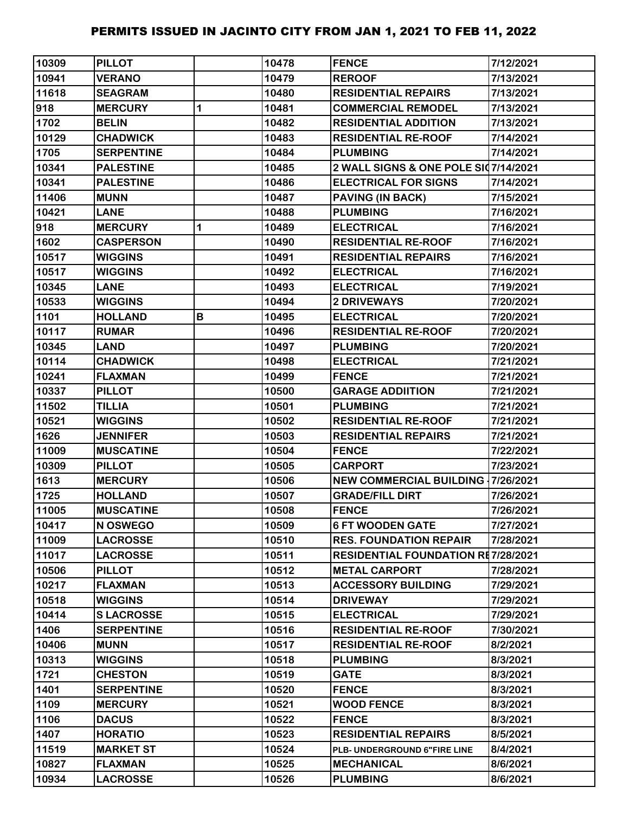| 10309 | <b>PILLOT</b>     |             | 10478 | <b>FENCE</b>                              | 7/12/2021 |
|-------|-------------------|-------------|-------|-------------------------------------------|-----------|
| 10941 | <b>VERANO</b>     |             | 10479 | <b>REROOF</b>                             | 7/13/2021 |
| 11618 | <b>SEAGRAM</b>    |             | 10480 | <b>RESIDENTIAL REPAIRS</b>                | 7/13/2021 |
| 918   | <b>MERCURY</b>    | 1           | 10481 | <b>COMMERCIAL REMODEL</b>                 | 7/13/2021 |
| 1702  | <b>BELIN</b>      |             | 10482 | <b>RESIDENTIAL ADDITION</b>               | 7/13/2021 |
| 10129 | <b>CHADWICK</b>   |             | 10483 | <b>RESIDENTIAL RE-ROOF</b>                | 7/14/2021 |
| 1705  | <b>SERPENTINE</b> |             | 10484 | <b>PLUMBING</b>                           | 7/14/2021 |
| 10341 | <b>PALESTINE</b>  |             | 10485 | 2 WALL SIGNS & ONE POLE SI07/14/2021      |           |
| 10341 | <b>PALESTINE</b>  |             | 10486 | <b>ELECTRICAL FOR SIGNS</b>               | 7/14/2021 |
| 11406 | <b>MUNN</b>       |             | 10487 | <b>PAVING (IN BACK)</b>                   | 7/15/2021 |
| 10421 | <b>LANE</b>       |             | 10488 | <b>PLUMBING</b>                           | 7/16/2021 |
| 918   | <b>MERCURY</b>    | $\mathbf 1$ | 10489 | <b>ELECTRICAL</b>                         | 7/16/2021 |
| 1602  | <b>CASPERSON</b>  |             | 10490 | <b>RESIDENTIAL RE-ROOF</b>                | 7/16/2021 |
| 10517 | <b>WIGGINS</b>    |             | 10491 | <b>RESIDENTIAL REPAIRS</b>                | 7/16/2021 |
| 10517 | <b>WIGGINS</b>    |             | 10492 | <b>ELECTRICAL</b>                         | 7/16/2021 |
| 10345 | <b>LANE</b>       |             | 10493 | <b>ELECTRICAL</b>                         | 7/19/2021 |
| 10533 | <b>WIGGINS</b>    |             | 10494 | <b>2 DRIVEWAYS</b>                        | 7/20/2021 |
| 1101  | <b>HOLLAND</b>    | В           | 10495 | <b>ELECTRICAL</b>                         | 7/20/2021 |
| 10117 | <b>RUMAR</b>      |             | 10496 | <b>RESIDENTIAL RE-ROOF</b>                | 7/20/2021 |
| 10345 | <b>LAND</b>       |             | 10497 | <b>PLUMBING</b>                           | 7/20/2021 |
| 10114 | <b>CHADWICK</b>   |             | 10498 | <b>ELECTRICAL</b>                         | 7/21/2021 |
| 10241 | <b>FLAXMAN</b>    |             | 10499 | <b>FENCE</b>                              | 7/21/2021 |
| 10337 | <b>PILLOT</b>     |             | 10500 | <b>GARAGE ADDIITION</b>                   | 7/21/2021 |
| 11502 | <b>TILLIA</b>     |             | 10501 | <b>PLUMBING</b>                           | 7/21/2021 |
| 10521 | <b>WIGGINS</b>    |             | 10502 | <b>RESIDENTIAL RE-ROOF</b>                | 7/21/2021 |
| 1626  | <b>JENNIFER</b>   |             | 10503 | <b>RESIDENTIAL REPAIRS</b>                | 7/21/2021 |
| 11009 | <b>MUSCATINE</b>  |             | 10504 | <b>FENCE</b>                              | 7/22/2021 |
| 10309 | <b>PILLOT</b>     |             | 10505 | <b>CARPORT</b>                            | 7/23/2021 |
| 1613  | <b>MERCURY</b>    |             | 10506 | <b>NEW COMMERCIAL BUILDING 17/26/2021</b> |           |
| 1725  | <b>HOLLAND</b>    |             | 10507 | <b>GRADE/FILL DIRT</b>                    | 7/26/2021 |
| 11005 | <b>MUSCATINE</b>  |             | 10508 | <b>FENCE</b>                              | 7/26/2021 |
| 10417 | N OSWEGO          |             | 10509 | <b>6 FT WOODEN GATE</b>                   | 7/27/2021 |
| 11009 | <b>LACROSSE</b>   |             | 10510 | <b>RES. FOUNDATION REPAIR</b>             | 7/28/2021 |
| 11017 | <b>LACROSSE</b>   |             | 10511 | <b>RESIDENTIAL FOUNDATION RE7/28/2021</b> |           |
| 10506 | <b>PILLOT</b>     |             | 10512 | <b>METAL CARPORT</b>                      | 7/28/2021 |
| 10217 | <b>FLAXMAN</b>    |             | 10513 | <b>ACCESSORY BUILDING</b>                 | 7/29/2021 |
| 10518 | <b>WIGGINS</b>    |             | 10514 | <b>DRIVEWAY</b>                           | 7/29/2021 |
| 10414 | <b>SLACROSSE</b>  |             | 10515 | <b>ELECTRICAL</b>                         | 7/29/2021 |
| 1406  | <b>SERPENTINE</b> |             | 10516 | <b>RESIDENTIAL RE-ROOF</b>                | 7/30/2021 |
| 10406 | <b>MUNN</b>       |             | 10517 | <b>RESIDENTIAL RE-ROOF</b>                | 8/2/2021  |
| 10313 | <b>WIGGINS</b>    |             | 10518 | <b>PLUMBING</b>                           | 8/3/2021  |
| 1721  | <b>CHESTON</b>    |             | 10519 | <b>GATE</b>                               | 8/3/2021  |
| 1401  | <b>SERPENTINE</b> |             | 10520 | <b>FENCE</b>                              | 8/3/2021  |
| 1109  | <b>MERCURY</b>    |             | 10521 | <b>WOOD FENCE</b>                         | 8/3/2021  |
| 1106  | <b>DACUS</b>      |             | 10522 | <b>FENCE</b>                              | 8/3/2021  |
| 1407  | <b>HORATIO</b>    |             | 10523 | <b>RESIDENTIAL REPAIRS</b>                | 8/5/2021  |
| 11519 | <b>MARKET ST</b>  |             | 10524 | PLB- UNDERGROUND 6"FIRE LINE              | 8/4/2021  |
| 10827 | <b>FLAXMAN</b>    |             | 10525 | <b>MECHANICAL</b>                         | 8/6/2021  |
| 10934 | <b>LACROSSE</b>   |             | 10526 | <b>PLUMBING</b>                           | 8/6/2021  |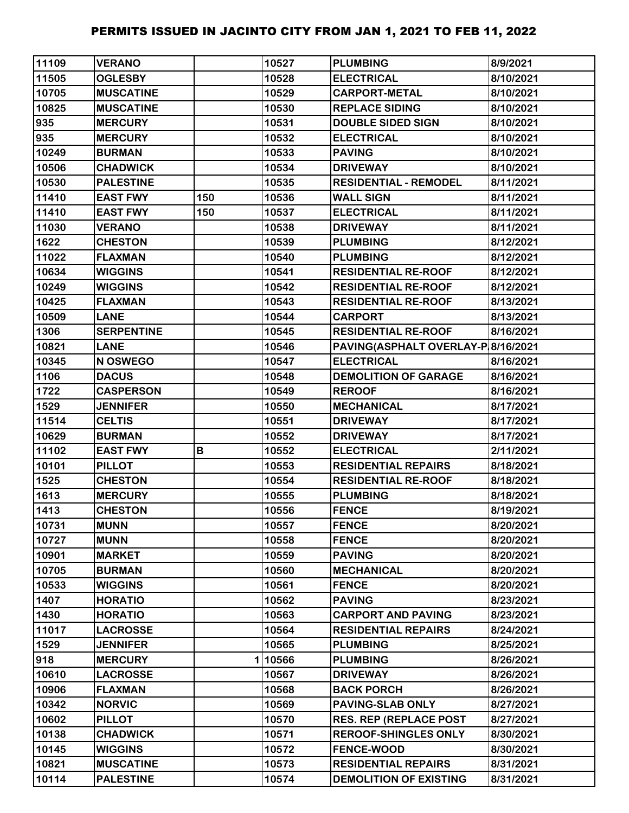| 11109 | <b>VERANO</b>     |     | 10527  | <b>PLUMBING</b>                    | 8/9/2021  |
|-------|-------------------|-----|--------|------------------------------------|-----------|
| 11505 | <b>OGLESBY</b>    |     | 10528  | <b>ELECTRICAL</b>                  | 8/10/2021 |
| 10705 | <b>MUSCATINE</b>  |     | 10529  | <b>CARPORT-METAL</b>               | 8/10/2021 |
| 10825 | <b>MUSCATINE</b>  |     | 10530  | <b>REPLACE SIDING</b>              | 8/10/2021 |
| 935   | <b>MERCURY</b>    |     | 10531  | <b>DOUBLE SIDED SIGN</b>           | 8/10/2021 |
| 935   | <b>MERCURY</b>    |     | 10532  | <b>ELECTRICAL</b>                  | 8/10/2021 |
| 10249 | <b>BURMAN</b>     |     | 10533  | <b>PAVING</b>                      | 8/10/2021 |
| 10506 | <b>CHADWICK</b>   |     | 10534  | <b>DRIVEWAY</b>                    | 8/10/2021 |
| 10530 | <b>PALESTINE</b>  |     | 10535  | <b>RESIDENTIAL - REMODEL</b>       | 8/11/2021 |
| 11410 | <b>EAST FWY</b>   | 150 | 10536  | <b>WALL SIGN</b>                   | 8/11/2021 |
| 11410 | <b>EAST FWY</b>   | 150 | 10537  | <b>ELECTRICAL</b>                  | 8/11/2021 |
| 11030 | <b>VERANO</b>     |     | 10538  | <b>DRIVEWAY</b>                    | 8/11/2021 |
| 1622  | <b>CHESTON</b>    |     | 10539  | <b>PLUMBING</b>                    | 8/12/2021 |
| 11022 | <b>FLAXMAN</b>    |     | 10540  | <b>PLUMBING</b>                    | 8/12/2021 |
| 10634 | <b>WIGGINS</b>    |     | 10541  | <b>RESIDENTIAL RE-ROOF</b>         | 8/12/2021 |
| 10249 | <b>WIGGINS</b>    |     | 10542  | <b>RESIDENTIAL RE-ROOF</b>         | 8/12/2021 |
| 10425 | <b>FLAXMAN</b>    |     | 10543  | <b>RESIDENTIAL RE-ROOF</b>         | 8/13/2021 |
| 10509 | <b>LANE</b>       |     | 10544  | <b>CARPORT</b>                     | 8/13/2021 |
| 1306  | <b>SERPENTINE</b> |     | 10545  | <b>RESIDENTIAL RE-ROOF</b>         | 8/16/2021 |
| 10821 | <b>LANE</b>       |     | 10546  | PAVING(ASPHALT OVERLAY-P 8/16/2021 |           |
| 10345 | N OSWEGO          |     | 10547  | <b>ELECTRICAL</b>                  | 8/16/2021 |
| 1106  | <b>DACUS</b>      |     | 10548  | <b>DEMOLITION OF GARAGE</b>        | 8/16/2021 |
| 1722  | <b>CASPERSON</b>  |     | 10549  | <b>REROOF</b>                      | 8/16/2021 |
| 1529  | <b>JENNIFER</b>   |     | 10550  | <b>MECHANICAL</b>                  | 8/17/2021 |
| 11514 | <b>CELTIS</b>     |     | 10551  | <b>DRIVEWAY</b>                    | 8/17/2021 |
| 10629 | <b>BURMAN</b>     |     | 10552  | <b>DRIVEWAY</b>                    | 8/17/2021 |
| 11102 | <b>EAST FWY</b>   | B   | 10552  | <b>ELECTRICAL</b>                  | 2/11/2021 |
| 10101 | <b>PILLOT</b>     |     | 10553  | <b>RESIDENTIAL REPAIRS</b>         | 8/18/2021 |
| 1525  | <b>CHESTON</b>    |     | 10554  | <b>RESIDENTIAL RE-ROOF</b>         | 8/18/2021 |
| 1613  | <b>MERCURY</b>    |     | 10555  | <b>PLUMBING</b>                    | 8/18/2021 |
| 1413  | <b>CHESTON</b>    |     | 10556  | <b>FENCE</b>                       | 8/19/2021 |
| 10731 | <b>MUNN</b>       |     | 10557  | <b>FENCE</b>                       | 8/20/2021 |
| 10727 | <b>MUNN</b>       |     | 10558  | <b>FENCE</b>                       | 8/20/2021 |
| 10901 | <b>MARKET</b>     |     | 10559  | <b>PAVING</b>                      | 8/20/2021 |
| 10705 | <b>BURMAN</b>     |     | 10560  | <b>MECHANICAL</b>                  | 8/20/2021 |
| 10533 | <b>WIGGINS</b>    |     | 10561  | <b>FENCE</b>                       | 8/20/2021 |
| 1407  | <b>HORATIO</b>    |     | 10562  | <b>PAVING</b>                      | 8/23/2021 |
| 1430  | <b>HORATIO</b>    |     | 10563  | <b>CARPORT AND PAVING</b>          | 8/23/2021 |
| 11017 | <b>LACROSSE</b>   |     | 10564  | <b>RESIDENTIAL REPAIRS</b>         | 8/24/2021 |
| 1529  | <b>JENNIFER</b>   |     | 10565  | <b>PLUMBING</b>                    | 8/25/2021 |
| 918   | <b>MERCURY</b>    |     | 110566 | <b>PLUMBING</b>                    | 8/26/2021 |
| 10610 | <b>LACROSSE</b>   |     | 10567  | <b>DRIVEWAY</b>                    | 8/26/2021 |
| 10906 | <b>FLAXMAN</b>    |     | 10568  | <b>BACK PORCH</b>                  | 8/26/2021 |
| 10342 | <b>NORVIC</b>     |     | 10569  | <b>PAVING-SLAB ONLY</b>            | 8/27/2021 |
| 10602 | <b>PILLOT</b>     |     | 10570  | <b>RES. REP (REPLACE POST</b>      | 8/27/2021 |
| 10138 | <b>CHADWICK</b>   |     | 10571  | <b>REROOF-SHINGLES ONLY</b>        | 8/30/2021 |
| 10145 | <b>WIGGINS</b>    |     | 10572  | <b>FENCE-WOOD</b>                  | 8/30/2021 |
| 10821 | <b>MUSCATINE</b>  |     | 10573  | <b>RESIDENTIAL REPAIRS</b>         | 8/31/2021 |
| 10114 | <b>PALESTINE</b>  |     | 10574  | <b>DEMOLITION OF EXISTING</b>      | 8/31/2021 |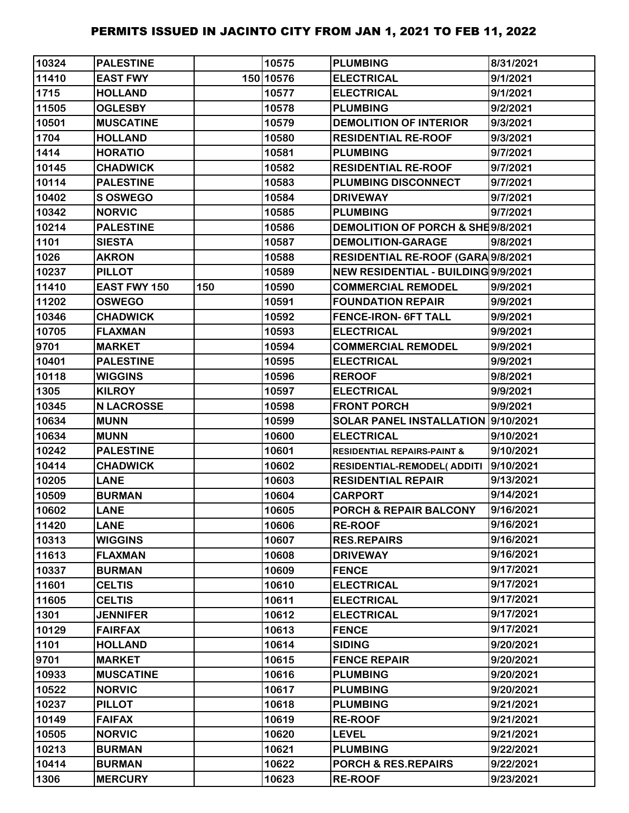| 10324 | <b>PALESTINE</b>  |     | 10575     | <b>PLUMBING</b>                        | 8/31/2021 |
|-------|-------------------|-----|-----------|----------------------------------------|-----------|
| 11410 | <b>EAST FWY</b>   |     | 150 10576 | <b>ELECTRICAL</b>                      | 9/1/2021  |
| 1715  | <b>HOLLAND</b>    |     | 10577     | <b>ELECTRICAL</b>                      | 9/1/2021  |
| 11505 | <b>OGLESBY</b>    |     | 10578     | <b>PLUMBING</b>                        | 9/2/2021  |
| 10501 | <b>MUSCATINE</b>  |     | 10579     | <b>DEMOLITION OF INTERIOR</b>          | 9/3/2021  |
| 1704  | <b>HOLLAND</b>    |     | 10580     | <b>RESIDENTIAL RE-ROOF</b>             | 9/3/2021  |
| 1414  | <b>HORATIO</b>    |     | 10581     | <b>PLUMBING</b>                        | 9/7/2021  |
| 10145 | <b>CHADWICK</b>   |     | 10582     | <b>RESIDENTIAL RE-ROOF</b>             | 9/7/2021  |
| 10114 | <b>PALESTINE</b>  |     | 10583     | PLUMBING DISCONNECT                    | 9/7/2021  |
| 10402 | S OSWEGO          |     | 10584     | <b>DRIVEWAY</b>                        | 9/7/2021  |
| 10342 | <b>NORVIC</b>     |     | 10585     | <b>PLUMBING</b>                        | 9/7/2021  |
| 10214 | <b>PALESTINE</b>  |     | 10586     | DEMOLITION OF PORCH & SHE9/8/2021      |           |
| 1101  | <b>SIESTA</b>     |     | 10587     | <b>DEMOLITION-GARAGE</b>               | 9/8/2021  |
| 1026  | <b>AKRON</b>      |     | 10588     | RESIDENTIAL RE-ROOF (GARA 9/8/2021     |           |
| 10237 | <b>PILLOT</b>     |     | 10589     | NEW RESIDENTIAL - BUILDING 9/9/2021    |           |
| 11410 | EAST FWY 150      | 150 | 10590     | <b>COMMERCIAL REMODEL</b>              | 9/9/2021  |
| 11202 | <b>OSWEGO</b>     |     | 10591     | <b>FOUNDATION REPAIR</b>               | 9/9/2021  |
| 10346 | <b>CHADWICK</b>   |     | 10592     | <b>FENCE-IRON- 6FT TALL</b>            | 9/9/2021  |
| 10705 | <b>FLAXMAN</b>    |     | 10593     | <b>ELECTRICAL</b>                      | 9/9/2021  |
| 9701  | <b>MARKET</b>     |     | 10594     | <b>COMMERCIAL REMODEL</b>              | 9/9/2021  |
| 10401 | <b>PALESTINE</b>  |     | 10595     | <b>ELECTRICAL</b>                      | 9/9/2021  |
| 10118 | <b>WIGGINS</b>    |     | 10596     | <b>REROOF</b>                          | 9/8/2021  |
| 1305  | <b>KILROY</b>     |     | 10597     | <b>ELECTRICAL</b>                      | 9/9/2021  |
| 10345 | <b>N LACROSSE</b> |     | 10598     | <b>FRONT PORCH</b>                     | 9/9/2021  |
| 10634 | <b>MUNN</b>       |     | 10599     | SOLAR PANEL INSTALLATION 9/10/2021     |           |
| 10634 | <b>MUNN</b>       |     | 10600     | <b>ELECTRICAL</b>                      | 9/10/2021 |
| 10242 | <b>PALESTINE</b>  |     | 10601     | <b>RESIDENTIAL REPAIRS-PAINT &amp;</b> | 9/10/2021 |
| 10414 | <b>CHADWICK</b>   |     | 10602     | <b>RESIDENTIAL-REMODEL( ADDITI</b>     | 9/10/2021 |
| 10205 | <b>LANE</b>       |     | 10603     | <b>RESIDENTIAL REPAIR</b>              | 9/13/2021 |
| 10509 | <b>BURMAN</b>     |     | 10604     | <b>CARPORT</b>                         | 9/14/2021 |
| 10602 | <b>LANE</b>       |     | 10605     | PORCH & REPAIR BALCONY                 | 9/16/2021 |
| 11420 | <b>LANE</b>       |     | 10606     | <b>RE-ROOF</b>                         | 9/16/2021 |
| 10313 | <b>WIGGINS</b>    |     | 10607     | <b>RES.REPAIRS</b>                     | 9/16/2021 |
| 11613 | <b>FLAXMAN</b>    |     | 10608     | <b>DRIVEWAY</b>                        | 9/16/2021 |
| 10337 | <b>BURMAN</b>     |     | 10609     | <b>FENCE</b>                           | 9/17/2021 |
| 11601 | <b>CELTIS</b>     |     | 10610     | <b>ELECTRICAL</b>                      | 9/17/2021 |
| 11605 | <b>CELTIS</b>     |     | 10611     | <b>ELECTRICAL</b>                      | 9/17/2021 |
| 1301  | <b>JENNIFER</b>   |     | 10612     | <b>ELECTRICAL</b>                      | 9/17/2021 |
| 10129 | <b>FAIRFAX</b>    |     | 10613     | <b>FENCE</b>                           | 9/17/2021 |
| 1101  | <b>HOLLAND</b>    |     | 10614     | <b>SIDING</b>                          | 9/20/2021 |
| 9701  | <b>MARKET</b>     |     | 10615     | <b>FENCE REPAIR</b>                    | 9/20/2021 |
| 10933 | <b>MUSCATINE</b>  |     | 10616     | <b>PLUMBING</b>                        | 9/20/2021 |
| 10522 | <b>NORVIC</b>     |     | 10617     | <b>PLUMBING</b>                        | 9/20/2021 |
| 10237 | <b>PILLOT</b>     |     | 10618     | <b>PLUMBING</b>                        | 9/21/2021 |
| 10149 | <b>FAIFAX</b>     |     | 10619     | <b>RE-ROOF</b>                         | 9/21/2021 |
| 10505 | <b>NORVIC</b>     |     | 10620     | <b>LEVEL</b>                           | 9/21/2021 |
| 10213 | <b>BURMAN</b>     |     | 10621     | <b>PLUMBING</b>                        | 9/22/2021 |
| 10414 | <b>BURMAN</b>     |     | 10622     | PORCH & RES.REPAIRS                    | 9/22/2021 |
| 1306  | <b>MERCURY</b>    |     | 10623     | <b>RE-ROOF</b>                         | 9/23/2021 |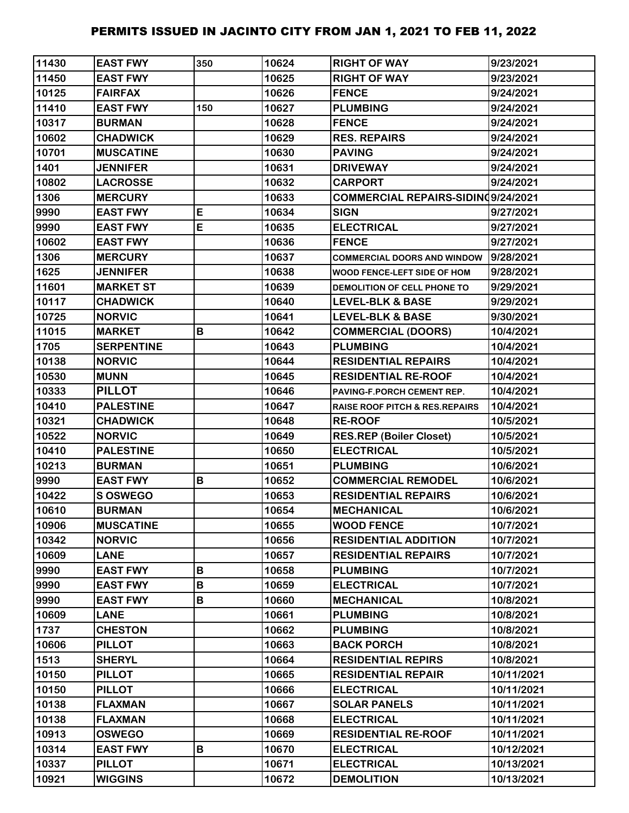| 11430 | <b>EAST FWY</b>   | 350 | 10624 | <b>RIGHT OF WAY</b>                       | 9/23/2021  |
|-------|-------------------|-----|-------|-------------------------------------------|------------|
| 11450 | <b>EAST FWY</b>   |     | 10625 | <b>RIGHT OF WAY</b>                       | 9/23/2021  |
| 10125 | <b>FAIRFAX</b>    |     | 10626 | <b>FENCE</b>                              | 9/24/2021  |
| 11410 | <b>EAST FWY</b>   | 150 | 10627 | <b>PLUMBING</b>                           | 9/24/2021  |
| 10317 | <b>BURMAN</b>     |     | 10628 | <b>FENCE</b>                              | 9/24/2021  |
| 10602 | <b>CHADWICK</b>   |     | 10629 | <b>RES. REPAIRS</b>                       | 9/24/2021  |
| 10701 | <b>MUSCATINE</b>  |     | 10630 | <b>PAVING</b>                             | 9/24/2021  |
| 1401  | <b>JENNIFER</b>   |     | 10631 | <b>DRIVEWAY</b>                           | 9/24/2021  |
| 10802 | <b>LACROSSE</b>   |     | 10632 | <b>CARPORT</b>                            | 9/24/2021  |
| 1306  | <b>MERCURY</b>    |     | 10633 | COMMERCIAL REPAIRS-SIDINQ9/24/2021        |            |
| 9990  | <b>EAST FWY</b>   | E   | 10634 | <b>SIGN</b>                               | 9/27/2021  |
| 9990  | <b>EAST FWY</b>   | E   | 10635 | <b>ELECTRICAL</b>                         | 9/27/2021  |
| 10602 | <b>EAST FWY</b>   |     | 10636 | <b>FENCE</b>                              | 9/27/2021  |
| 1306  | <b>MERCURY</b>    |     | 10637 | <b>COMMERCIAL DOORS AND WINDOW</b>        | 9/28/2021  |
| 1625  | <b>JENNIFER</b>   |     | 10638 | WOOD FENCE-LEFT SIDE OF HOM               | 9/28/2021  |
| 11601 | <b>MARKET ST</b>  |     | 10639 | DEMOLITION OF CELL PHONE TO               | 9/29/2021  |
| 10117 | <b>CHADWICK</b>   |     | 10640 | <b>LEVEL-BLK &amp; BASE</b>               | 9/29/2021  |
| 10725 | <b>NORVIC</b>     |     | 10641 | <b>LEVEL-BLK &amp; BASE</b>               | 9/30/2021  |
| 11015 | <b>MARKET</b>     | B   | 10642 | <b>COMMERCIAL (DOORS)</b>                 | 10/4/2021  |
| 1705  | <b>SERPENTINE</b> |     | 10643 | <b>PLUMBING</b>                           | 10/4/2021  |
| 10138 | <b>NORVIC</b>     |     | 10644 | <b>RESIDENTIAL REPAIRS</b>                | 10/4/2021  |
| 10530 | <b>MUNN</b>       |     | 10645 | <b>RESIDENTIAL RE-ROOF</b>                | 10/4/2021  |
| 10333 | <b>PILLOT</b>     |     | 10646 | PAVING-F.PORCH CEMENT REP.                | 10/4/2021  |
| 10410 | <b>PALESTINE</b>  |     | 10647 | <b>RAISE ROOF PITCH &amp; RES.REPAIRS</b> | 10/4/2021  |
| 10321 | <b>CHADWICK</b>   |     | 10648 | <b>RE-ROOF</b>                            | 10/5/2021  |
| 10522 | <b>NORVIC</b>     |     | 10649 | <b>RES.REP (Boiler Closet)</b>            | 10/5/2021  |
| 10410 | <b>PALESTINE</b>  |     | 10650 | <b>ELECTRICAL</b>                         | 10/5/2021  |
| 10213 | <b>BURMAN</b>     |     | 10651 | <b>PLUMBING</b>                           | 10/6/2021  |
| 9990  | <b>EAST FWY</b>   | В   | 10652 | <b>COMMERCIAL REMODEL</b>                 | 10/6/2021  |
| 10422 | S OSWEGO          |     | 10653 | <b>RESIDENTIAL REPAIRS</b>                | 10/6/2021  |
| 10610 | <b>BURMAN</b>     |     | 10654 | <b>MECHANICAL</b>                         | 10/6/2021  |
| 10906 | <b>MUSCATINE</b>  |     | 10655 | <b>WOOD FENCE</b>                         | 10/7/2021  |
| 10342 | <b>NORVIC</b>     |     | 10656 | <b>RESIDENTIAL ADDITION</b>               | 10/7/2021  |
| 10609 | <b>LANE</b>       |     | 10657 | <b>RESIDENTIAL REPAIRS</b>                | 10/7/2021  |
| 9990  | <b>EAST FWY</b>   | В   | 10658 | <b>PLUMBING</b>                           | 10/7/2021  |
| 9990  | <b>EAST FWY</b>   | B   | 10659 | <b>ELECTRICAL</b>                         | 10/7/2021  |
| 9990  | <b>EAST FWY</b>   | В   | 10660 | <b>MECHANICAL</b>                         | 10/8/2021  |
| 10609 | <b>LANE</b>       |     | 10661 | <b>PLUMBING</b>                           | 10/8/2021  |
| 1737  | <b>CHESTON</b>    |     | 10662 | <b>PLUMBING</b>                           | 10/8/2021  |
| 10606 | <b>PILLOT</b>     |     | 10663 | <b>BACK PORCH</b>                         | 10/8/2021  |
| 1513  | <b>SHERYL</b>     |     | 10664 | <b>RESIDENTIAL REPIRS</b>                 | 10/8/2021  |
| 10150 | <b>PILLOT</b>     |     | 10665 | <b>RESIDENTIAL REPAIR</b>                 | 10/11/2021 |
| 10150 | <b>PILLOT</b>     |     | 10666 | <b>ELECTRICAL</b>                         | 10/11/2021 |
| 10138 | <b>FLAXMAN</b>    |     | 10667 | <b>SOLAR PANELS</b>                       | 10/11/2021 |
| 10138 | <b>FLAXMAN</b>    |     | 10668 | <b>ELECTRICAL</b>                         | 10/11/2021 |
| 10913 | <b>OSWEGO</b>     |     | 10669 | <b>RESIDENTIAL RE-ROOF</b>                | 10/11/2021 |
| 10314 | <b>EAST FWY</b>   | В   | 10670 | <b>ELECTRICAL</b>                         | 10/12/2021 |
| 10337 | <b>PILLOT</b>     |     | 10671 | <b>ELECTRICAL</b>                         | 10/13/2021 |
| 10921 | <b>WIGGINS</b>    |     | 10672 | <b>DEMOLITION</b>                         | 10/13/2021 |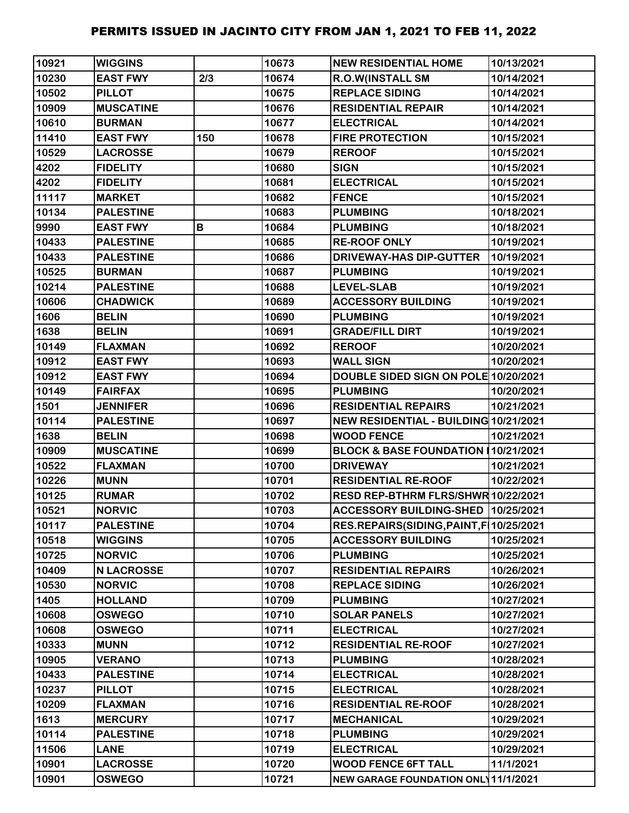| 10921 | <b>WIGGINS</b>    |     | 10673 | <b>NEW RESIDENTIAL HOME</b>             | 10/13/2021 |
|-------|-------------------|-----|-------|-----------------------------------------|------------|
| 10230 | <b>EAST FWY</b>   | 2/3 | 10674 | R.O.W(INSTALL SM                        | 10/14/2021 |
| 10502 | <b>PILLOT</b>     |     | 10675 | <b>REPLACE SIDING</b>                   | 10/14/2021 |
| 10909 | <b>MUSCATINE</b>  |     | 10676 | <b>RESIDENTIAL REPAIR</b>               | 10/14/2021 |
| 10610 | <b>BURMAN</b>     |     | 10677 | <b>ELECTRICAL</b>                       | 10/14/2021 |
| 11410 | <b>EAST FWY</b>   | 150 | 10678 | <b>FIRE PROTECTION</b>                  | 10/15/2021 |
| 10529 | <b>LACROSSE</b>   |     | 10679 | <b>REROOF</b>                           | 10/15/2021 |
| 4202  | <b>FIDELITY</b>   |     | 10680 | <b>SIGN</b>                             | 10/15/2021 |
| 4202  | <b>FIDELITY</b>   |     | 10681 | <b>ELECTRICAL</b>                       | 10/15/2021 |
| 11117 | <b>MARKET</b>     |     | 10682 | <b>FENCE</b>                            | 10/15/2021 |
| 10134 | <b>PALESTINE</b>  |     | 10683 | <b>PLUMBING</b>                         | 10/18/2021 |
| 9990  | <b>EAST FWY</b>   | В   | 10684 | <b>PLUMBING</b>                         | 10/18/2021 |
| 10433 | <b>PALESTINE</b>  |     | 10685 | <b>RE-ROOF ONLY</b>                     | 10/19/2021 |
| 10433 | <b>PALESTINE</b>  |     | 10686 | <b>DRIVEWAY-HAS DIP-GUTTER</b>          | 10/19/2021 |
| 10525 | <b>BURMAN</b>     |     | 10687 | <b>PLUMBING</b>                         | 10/19/2021 |
| 10214 | <b>PALESTINE</b>  |     | 10688 | <b>LEVEL-SLAB</b>                       | 10/19/2021 |
| 10606 | <b>CHADWICK</b>   |     | 10689 | <b>ACCESSORY BUILDING</b>               | 10/19/2021 |
| 1606  | <b>BELIN</b>      |     | 10690 | <b>PLUMBING</b>                         | 10/19/2021 |
| 1638  | <b>BELIN</b>      |     | 10691 | <b>GRADE/FILL DIRT</b>                  | 10/19/2021 |
| 10149 | <b>FLAXMAN</b>    |     | 10692 | <b>REROOF</b>                           | 10/20/2021 |
| 10912 | <b>EAST FWY</b>   |     | 10693 | <b>WALL SIGN</b>                        | 10/20/2021 |
| 10912 | <b>EAST FWY</b>   |     | 10694 | DOUBLE SIDED SIGN ON POLE 10/20/2021    |            |
| 10149 | <b>FAIRFAX</b>    |     | 10695 | <b>PLUMBING</b>                         | 10/20/2021 |
| 1501  | <b>JENNIFER</b>   |     | 10696 | <b>RESIDENTIAL REPAIRS</b>              | 10/21/2021 |
| 10114 | <b>PALESTINE</b>  |     | 10697 | NEW RESIDENTIAL - BUILDING 10/21/2021   |            |
| 1638  | <b>BELIN</b>      |     | 10698 | <b>WOOD FENCE</b>                       | 10/21/2021 |
| 10909 | <b>MUSCATINE</b>  |     | 10699 | BLOCK & BASE FOUNDATION (10/21/2021     |            |
| 10522 | <b>FLAXMAN</b>    |     | 10700 | <b>DRIVEWAY</b>                         | 10/21/2021 |
| 10226 | <b>MUNN</b>       |     | 10701 | <b>RESIDENTIAL RE-ROOF</b>              | 10/22/2021 |
| 10125 | <b>RUMAR</b>      |     | 10702 | RESD REP-BTHRM FLRS/SHWR 10/22/2021     |            |
| 10521 | <b>NORVIC</b>     |     | 10703 | ACCESSORY BUILDING-SHED 10/25/2021      |            |
| 10117 | <b>PALESTINE</b>  |     | 10704 | RES.REPAIRS(SIDING, PAINT, F 10/25/2021 |            |
| 10518 | <b>WIGGINS</b>    |     | 10705 | <b>ACCESSORY BUILDING</b>               | 10/25/2021 |
| 10725 | <b>NORVIC</b>     |     | 10706 | <b>PLUMBING</b>                         | 10/25/2021 |
| 10409 | <b>N LACROSSE</b> |     | 10707 | <b>RESIDENTIAL REPAIRS</b>              | 10/26/2021 |
| 10530 | <b>NORVIC</b>     |     | 10708 | <b>REPLACE SIDING</b>                   | 10/26/2021 |
| 1405  | <b>HOLLAND</b>    |     | 10709 | <b>PLUMBING</b>                         | 10/27/2021 |
| 10608 | <b>OSWEGO</b>     |     | 10710 | <b>SOLAR PANELS</b>                     | 10/27/2021 |
| 10608 | <b>OSWEGO</b>     |     | 10711 | <b>ELECTRICAL</b>                       | 10/27/2021 |
| 10333 | <b>MUNN</b>       |     | 10712 | <b>RESIDENTIAL RE-ROOF</b>              | 10/27/2021 |
| 10905 | <b>VERANO</b>     |     | 10713 | <b>PLUMBING</b>                         | 10/28/2021 |
| 10433 | <b>PALESTINE</b>  |     | 10714 | <b>ELECTRICAL</b>                       | 10/28/2021 |
| 10237 | <b>PILLOT</b>     |     | 10715 | <b>ELECTRICAL</b>                       | 10/28/2021 |
| 10209 | <b>FLAXMAN</b>    |     | 10716 | <b>RESIDENTIAL RE-ROOF</b>              | 10/28/2021 |
| 1613  | <b>MERCURY</b>    |     | 10717 | <b>MECHANICAL</b>                       | 10/29/2021 |
| 10114 | <b>PALESTINE</b>  |     | 10718 | <b>PLUMBING</b>                         | 10/29/2021 |
| 11506 | <b>LANE</b>       |     | 10719 | <b>ELECTRICAL</b>                       | 10/29/2021 |
| 10901 | <b>LACROSSE</b>   |     | 10720 | <b>WOOD FENCE 6FT TALL</b>              | 11/1/2021  |
| 10901 | <b>OSWEGO</b>     |     | 10721 | NEW GARAGE FOUNDATION ONL 11/1/2021     |            |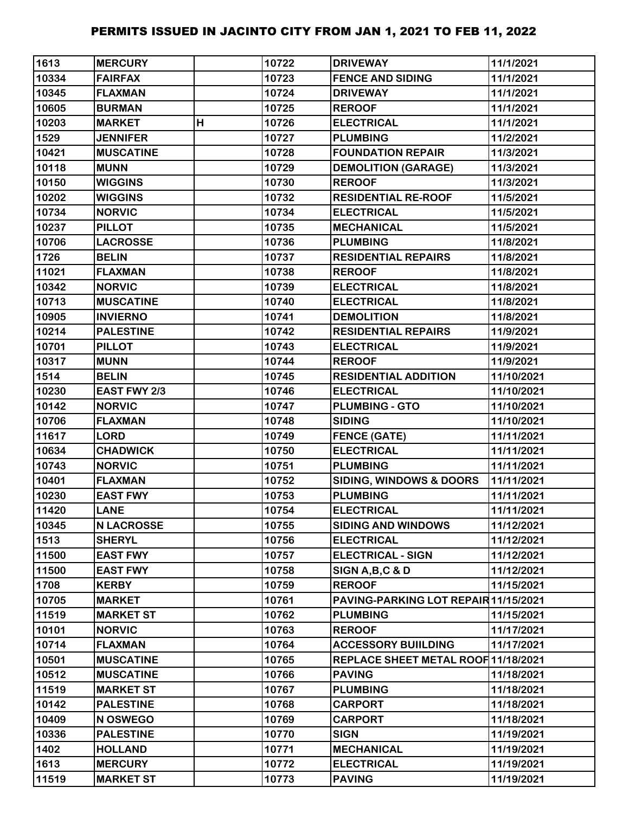| 1613  | <b>MERCURY</b>      |   | 10722 | <b>DRIVEWAY</b>                      | 11/1/2021  |
|-------|---------------------|---|-------|--------------------------------------|------------|
| 10334 | <b>FAIRFAX</b>      |   | 10723 | <b>FENCE AND SIDING</b>              | 11/1/2021  |
| 10345 | <b>FLAXMAN</b>      |   | 10724 | <b>DRIVEWAY</b>                      | 11/1/2021  |
| 10605 | <b>BURMAN</b>       |   | 10725 | <b>REROOF</b>                        | 11/1/2021  |
| 10203 | <b>MARKET</b>       | H | 10726 | <b>ELECTRICAL</b>                    | 11/1/2021  |
| 1529  | <b>JENNIFER</b>     |   | 10727 | <b>PLUMBING</b>                      | 11/2/2021  |
| 10421 | <b>MUSCATINE</b>    |   | 10728 | <b>FOUNDATION REPAIR</b>             | 11/3/2021  |
| 10118 | <b>MUNN</b>         |   | 10729 | <b>DEMOLITION (GARAGE)</b>           | 11/3/2021  |
| 10150 | <b>WIGGINS</b>      |   | 10730 | <b>REROOF</b>                        | 11/3/2021  |
| 10202 | <b>WIGGINS</b>      |   | 10732 | <b>RESIDENTIAL RE-ROOF</b>           | 11/5/2021  |
| 10734 | <b>NORVIC</b>       |   | 10734 | <b>ELECTRICAL</b>                    | 11/5/2021  |
| 10237 | <b>PILLOT</b>       |   | 10735 | <b>MECHANICAL</b>                    | 11/5/2021  |
| 10706 | <b>LACROSSE</b>     |   | 10736 | <b>PLUMBING</b>                      | 11/8/2021  |
| 1726  | <b>BELIN</b>        |   | 10737 | <b>RESIDENTIAL REPAIRS</b>           | 11/8/2021  |
| 11021 | <b>FLAXMAN</b>      |   | 10738 | <b>REROOF</b>                        | 11/8/2021  |
| 10342 | <b>NORVIC</b>       |   | 10739 | <b>ELECTRICAL</b>                    | 11/8/2021  |
| 10713 | <b>MUSCATINE</b>    |   | 10740 | <b>ELECTRICAL</b>                    | 11/8/2021  |
| 10905 | <b>INVIERNO</b>     |   | 10741 | <b>DEMOLITION</b>                    | 11/8/2021  |
| 10214 | <b>PALESTINE</b>    |   | 10742 | <b>RESIDENTIAL REPAIRS</b>           | 11/9/2021  |
| 10701 | <b>PILLOT</b>       |   | 10743 | <b>ELECTRICAL</b>                    | 11/9/2021  |
| 10317 | <b>MUNN</b>         |   | 10744 | <b>REROOF</b>                        | 11/9/2021  |
| 1514  | <b>BELIN</b>        |   | 10745 | <b>RESIDENTIAL ADDITION</b>          | 11/10/2021 |
| 10230 | <b>EAST FWY 2/3</b> |   | 10746 | <b>ELECTRICAL</b>                    | 11/10/2021 |
| 10142 | <b>NORVIC</b>       |   | 10747 | <b>PLUMBING - GTO</b>                | 11/10/2021 |
| 10706 | <b>FLAXMAN</b>      |   | 10748 | <b>SIDING</b>                        | 11/10/2021 |
| 11617 | <b>LORD</b>         |   | 10749 | <b>FENCE (GATE)</b>                  | 11/11/2021 |
| 10634 | <b>CHADWICK</b>     |   | 10750 | <b>ELECTRICAL</b>                    | 11/11/2021 |
| 10743 | <b>NORVIC</b>       |   | 10751 | <b>PLUMBING</b>                      | 11/11/2021 |
| 10401 | <b>FLAXMAN</b>      |   | 10752 | <b>SIDING, WINDOWS &amp; DOORS</b>   | 11/11/2021 |
| 10230 | <b>EAST FWY</b>     |   | 10753 | <b>PLUMBING</b>                      | 11/11/2021 |
| 11420 | <b>LANE</b>         |   | 10754 | <b>ELECTRICAL</b>                    | 11/11/2021 |
| 10345 | <b>N LACROSSE</b>   |   | 10755 | <b>SIDING AND WINDOWS</b>            | 11/12/2021 |
| 1513  | <b>SHERYL</b>       |   | 10756 | <b>ELECTRICAL</b>                    | 11/12/2021 |
| 11500 | <b>EAST FWY</b>     |   | 10757 | <b>ELECTRICAL - SIGN</b>             | 11/12/2021 |
| 11500 | <b>EAST FWY</b>     |   | 10758 | SIGN A, B, C & D                     | 11/12/2021 |
| 1708  | <b>KERBY</b>        |   | 10759 | <b>REROOF</b>                        | 11/15/2021 |
| 10705 | <b>MARKET</b>       |   | 10761 | PAVING-PARKING LOT REPAIR 11/15/2021 |            |
| 11519 | <b>MARKET ST</b>    |   | 10762 | <b>PLUMBING</b>                      | 11/15/2021 |
| 10101 | <b>NORVIC</b>       |   | 10763 | <b>REROOF</b>                        | 11/17/2021 |
| 10714 | <b>FLAXMAN</b>      |   | 10764 | <b>ACCESSORY BUILDING</b>            | 11/17/2021 |
| 10501 | <b>MUSCATINE</b>    |   | 10765 | REPLACE SHEET METAL ROOF 11/18/2021  |            |
| 10512 | <b>MUSCATINE</b>    |   | 10766 | <b>PAVING</b>                        | 11/18/2021 |
| 11519 | <b>MARKET ST</b>    |   | 10767 | <b>PLUMBING</b>                      | 11/18/2021 |
| 10142 | <b>PALESTINE</b>    |   | 10768 | <b>CARPORT</b>                       | 11/18/2021 |
| 10409 | N OSWEGO            |   | 10769 | <b>CARPORT</b>                       | 11/18/2021 |
| 10336 | <b>PALESTINE</b>    |   | 10770 | <b>SIGN</b>                          | 11/19/2021 |
| 1402  | <b>HOLLAND</b>      |   | 10771 | <b>MECHANICAL</b>                    | 11/19/2021 |
| 1613  | <b>MERCURY</b>      |   | 10772 | <b>ELECTRICAL</b>                    | 11/19/2021 |
| 11519 | <b>MARKET ST</b>    |   | 10773 | <b>PAVING</b>                        | 11/19/2021 |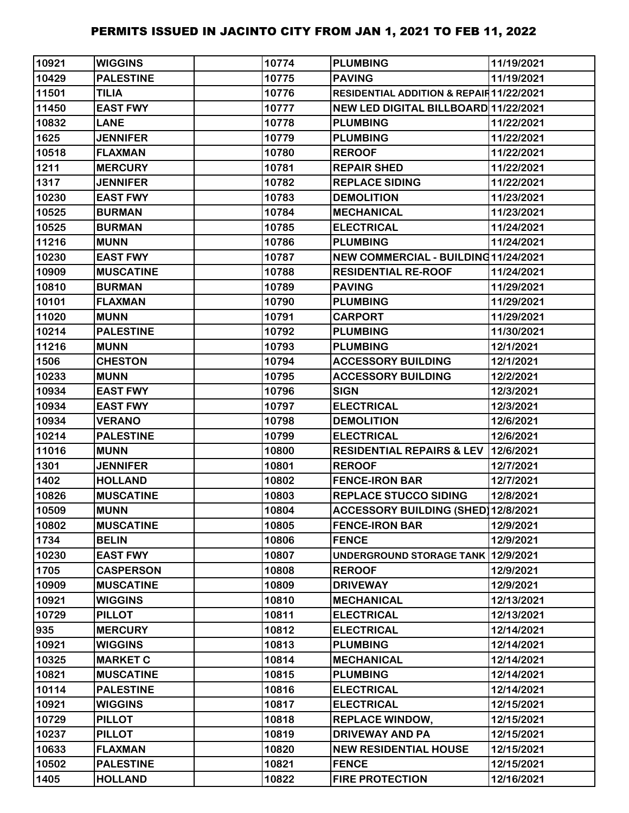| 10921 | <b>WIGGINS</b>   | 10774 | <b>PLUMBING</b>                                    | 11/19/2021 |
|-------|------------------|-------|----------------------------------------------------|------------|
| 10429 | <b>PALESTINE</b> | 10775 | <b>PAVING</b>                                      | 11/19/2021 |
| 11501 | <b>TILIA</b>     | 10776 | <b>RESIDENTIAL ADDITION &amp; REPAIR11/22/2021</b> |            |
| 11450 | <b>EAST FWY</b>  | 10777 | NEW LED DIGITAL BILLBOARD 11/22/2021               |            |
| 10832 | <b>LANE</b>      | 10778 | <b>PLUMBING</b>                                    | 11/22/2021 |
| 1625  | <b>JENNIFER</b>  | 10779 | <b>PLUMBING</b>                                    | 11/22/2021 |
| 10518 | <b>FLAXMAN</b>   | 10780 | <b>REROOF</b>                                      | 11/22/2021 |
| 1211  | <b>MERCURY</b>   | 10781 | <b>REPAIR SHED</b>                                 | 11/22/2021 |
| 1317  | <b>JENNIFER</b>  | 10782 | <b>REPLACE SIDING</b>                              | 11/22/2021 |
| 10230 | <b>EAST FWY</b>  | 10783 | <b>DEMOLITION</b>                                  | 11/23/2021 |
| 10525 | <b>BURMAN</b>    | 10784 | <b>MECHANICAL</b>                                  | 11/23/2021 |
| 10525 | <b>BURMAN</b>    | 10785 | <b>ELECTRICAL</b>                                  | 11/24/2021 |
| 11216 | <b>MUNN</b>      | 10786 | <b>PLUMBING</b>                                    | 11/24/2021 |
| 10230 | <b>EAST FWY</b>  | 10787 | NEW COMMERCIAL - BUILDING11/24/2021                |            |
| 10909 | <b>MUSCATINE</b> | 10788 | <b>RESIDENTIAL RE-ROOF</b>                         | 11/24/2021 |
| 10810 | <b>BURMAN</b>    | 10789 | <b>PAVING</b>                                      | 11/29/2021 |
| 10101 | <b>FLAXMAN</b>   | 10790 | <b>PLUMBING</b>                                    | 11/29/2021 |
| 11020 | <b>MUNN</b>      | 10791 | <b>CARPORT</b>                                     | 11/29/2021 |
| 10214 | <b>PALESTINE</b> | 10792 | <b>PLUMBING</b>                                    | 11/30/2021 |
| 11216 | <b>MUNN</b>      | 10793 | <b>PLUMBING</b>                                    | 12/1/2021  |
| 1506  | <b>CHESTON</b>   | 10794 | <b>ACCESSORY BUILDING</b>                          | 12/1/2021  |
| 10233 | <b>MUNN</b>      | 10795 | <b>ACCESSORY BUILDING</b>                          | 12/2/2021  |
| 10934 | <b>EAST FWY</b>  | 10796 | <b>SIGN</b>                                        | 12/3/2021  |
| 10934 | <b>EAST FWY</b>  | 10797 | <b>ELECTRICAL</b>                                  | 12/3/2021  |
| 10934 | <b>VERANO</b>    | 10798 | <b>DEMOLITION</b>                                  | 12/6/2021  |
| 10214 | <b>PALESTINE</b> | 10799 | <b>ELECTRICAL</b>                                  | 12/6/2021  |
| 11016 | <b>MUNN</b>      | 10800 | <b>RESIDENTIAL REPAIRS &amp; LEV</b>               | 12/6/2021  |
| 1301  | <b>JENNIFER</b>  | 10801 | <b>REROOF</b>                                      | 12/7/2021  |
| 1402  | <b>HOLLAND</b>   | 10802 | <b>FENCE-IRON BAR</b>                              | 12/7/2021  |
| 10826 | <b>MUSCATINE</b> | 10803 | <b>REPLACE STUCCO SIDING</b>                       | 12/8/2021  |
| 10509 | <b>MUNN</b>      | 10804 | ACCESSORY BUILDING (SHED) 12/8/2021                |            |
| 10802 | <b>MUSCATINE</b> | 10805 | <b>FENCE-IRON BAR</b>                              | 12/9/2021  |
| 1734  | <b>BELIN</b>     | 10806 | <b>FENCE</b>                                       | 12/9/2021  |
| 10230 | <b>EAST FWY</b>  | 10807 | UNDERGROUND STORAGE TANK 12/9/2021                 |            |
| 1705  | <b>CASPERSON</b> | 10808 | <b>REROOF</b>                                      | 12/9/2021  |
| 10909 | <b>MUSCATINE</b> | 10809 | <b>DRIVEWAY</b>                                    | 12/9/2021  |
| 10921 | <b>WIGGINS</b>   | 10810 | <b>MECHANICAL</b>                                  | 12/13/2021 |
| 10729 | <b>PILLOT</b>    | 10811 | <b>ELECTRICAL</b>                                  | 12/13/2021 |
| 935   | <b>MERCURY</b>   | 10812 | <b>ELECTRICAL</b>                                  | 12/14/2021 |
| 10921 | <b>WIGGINS</b>   | 10813 | <b>PLUMBING</b>                                    | 12/14/2021 |
| 10325 | <b>MARKET C</b>  | 10814 | <b>MECHANICAL</b>                                  | 12/14/2021 |
| 10821 | <b>MUSCATINE</b> | 10815 | <b>PLUMBING</b>                                    | 12/14/2021 |
| 10114 | <b>PALESTINE</b> | 10816 | <b>ELECTRICAL</b>                                  | 12/14/2021 |
| 10921 | <b>WIGGINS</b>   | 10817 | <b>ELECTRICAL</b>                                  | 12/15/2021 |
| 10729 | <b>PILLOT</b>    | 10818 | <b>REPLACE WINDOW,</b>                             | 12/15/2021 |
| 10237 | <b>PILLOT</b>    | 10819 | <b>DRIVEWAY AND PA</b>                             | 12/15/2021 |
| 10633 | <b>FLAXMAN</b>   | 10820 | <b>NEW RESIDENTIAL HOUSE</b>                       | 12/15/2021 |
| 10502 | <b>PALESTINE</b> | 10821 | <b>FENCE</b>                                       | 12/15/2021 |
| 1405  | <b>HOLLAND</b>   | 10822 | <b>FIRE PROTECTION</b>                             | 12/16/2021 |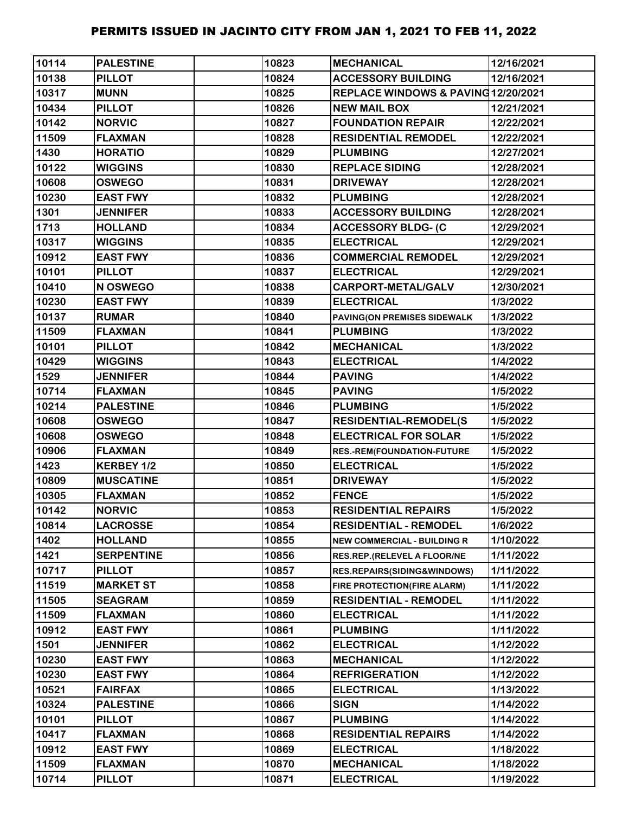| 10114 | <b>PALESTINE</b>  | 10823 | <b>MECHANICAL</b>                   | 12/16/2021 |
|-------|-------------------|-------|-------------------------------------|------------|
| 10138 | <b>PILLOT</b>     | 10824 | <b>ACCESSORY BUILDING</b>           | 12/16/2021 |
| 10317 | <b>MUNN</b>       | 10825 | REPLACE WINDOWS & PAVING 12/20/2021 |            |
| 10434 | <b>PILLOT</b>     | 10826 | <b>NEW MAIL BOX</b>                 | 12/21/2021 |
| 10142 | <b>NORVIC</b>     | 10827 | <b>FOUNDATION REPAIR</b>            | 12/22/2021 |
| 11509 | <b>FLAXMAN</b>    | 10828 | <b>RESIDENTIAL REMODEL</b>          | 12/22/2021 |
| 1430  | <b>HORATIO</b>    | 10829 | <b>PLUMBING</b>                     | 12/27/2021 |
| 10122 | <b>WIGGINS</b>    | 10830 | <b>REPLACE SIDING</b>               | 12/28/2021 |
| 10608 | <b>OSWEGO</b>     | 10831 | <b>DRIVEWAY</b>                     | 12/28/2021 |
| 10230 | <b>EAST FWY</b>   | 10832 | <b>PLUMBING</b>                     | 12/28/2021 |
| 1301  | <b>JENNIFER</b>   | 10833 | <b>ACCESSORY BUILDING</b>           | 12/28/2021 |
| 1713  | <b>HOLLAND</b>    | 10834 | <b>ACCESSORY BLDG- (C</b>           | 12/29/2021 |
| 10317 | <b>WIGGINS</b>    | 10835 | <b>ELECTRICAL</b>                   | 12/29/2021 |
| 10912 | <b>EAST FWY</b>   | 10836 | <b>COMMERCIAL REMODEL</b>           | 12/29/2021 |
| 10101 | <b>PILLOT</b>     | 10837 | <b>ELECTRICAL</b>                   | 12/29/2021 |
| 10410 | N OSWEGO          | 10838 | <b>CARPORT-METAL/GALV</b>           | 12/30/2021 |
| 10230 | <b>EAST FWY</b>   | 10839 | <b>ELECTRICAL</b>                   | 1/3/2022   |
| 10137 | <b>RUMAR</b>      | 10840 | PAVING(ON PREMISES SIDEWALK         | 1/3/2022   |
| 11509 | <b>FLAXMAN</b>    | 10841 | <b>PLUMBING</b>                     | 1/3/2022   |
| 10101 | <b>PILLOT</b>     | 10842 | <b>MECHANICAL</b>                   | 1/3/2022   |
| 10429 | <b>WIGGINS</b>    | 10843 | <b>ELECTRICAL</b>                   | 1/4/2022   |
| 1529  | <b>JENNIFER</b>   | 10844 | <b>PAVING</b>                       | 1/4/2022   |
| 10714 | <b>FLAXMAN</b>    | 10845 | <b>PAVING</b>                       | 1/5/2022   |
| 10214 | <b>PALESTINE</b>  | 10846 | <b>PLUMBING</b>                     | 1/5/2022   |
| 10608 | <b>OSWEGO</b>     | 10847 | <b>RESIDENTIAL-REMODEL(S</b>        | 1/5/2022   |
| 10608 | <b>OSWEGO</b>     | 10848 | <b>ELECTRICAL FOR SOLAR</b>         | 1/5/2022   |
| 10906 | <b>FLAXMAN</b>    | 10849 | RES.-REM(FOUNDATION-FUTURE          | 1/5/2022   |
| 1423  | KERBEY 1/2        | 10850 | <b>ELECTRICAL</b>                   | 1/5/2022   |
| 10809 | <b>MUSCATINE</b>  | 10851 | <b>DRIVEWAY</b>                     | 1/5/2022   |
| 10305 | <b>FLAXMAN</b>    | 10852 | <b>FENCE</b>                        | 1/5/2022   |
| 10142 | <b>NORVIC</b>     | 10853 | <b>RESIDENTIAL REPAIRS</b>          | 1/5/2022   |
| 10814 | <b>LACROSSE</b>   | 10854 | <b>RESIDENTIAL - REMODEL</b>        | 1/6/2022   |
| 1402  | <b>HOLLAND</b>    | 10855 | <b>NEW COMMERCIAL - BUILDING R</b>  | 1/10/2022  |
| 1421  | <b>SERPENTINE</b> | 10856 | RES.REP.(RELEVEL A FLOOR/NE         | 1/11/2022  |
| 10717 | <b>PILLOT</b>     | 10857 | RES.REPAIRS(SIDING&WINDOWS)         | 1/11/2022  |
| 11519 | <b>MARKET ST</b>  | 10858 | FIRE PROTECTION(FIRE ALARM)         | 1/11/2022  |
| 11505 | <b>SEAGRAM</b>    | 10859 | <b>RESIDENTIAL - REMODEL</b>        | 1/11/2022  |
| 11509 | <b>FLAXMAN</b>    | 10860 | <b>ELECTRICAL</b>                   | 1/11/2022  |
| 10912 | <b>EAST FWY</b>   | 10861 | <b>PLUMBING</b>                     | 1/11/2022  |
| 1501  | <b>JENNIFER</b>   | 10862 | <b>ELECTRICAL</b>                   | 1/12/2022  |
| 10230 | <b>EAST FWY</b>   | 10863 | <b>MECHANICAL</b>                   | 1/12/2022  |
| 10230 | <b>EAST FWY</b>   | 10864 | <b>REFRIGERATION</b>                | 1/12/2022  |
| 10521 | <b>FAIRFAX</b>    | 10865 | <b>ELECTRICAL</b>                   | 1/13/2022  |
| 10324 | <b>PALESTINE</b>  | 10866 | <b>SIGN</b>                         | 1/14/2022  |
| 10101 | <b>PILLOT</b>     | 10867 | <b>PLUMBING</b>                     | 1/14/2022  |
| 10417 | <b>FLAXMAN</b>    | 10868 | <b>RESIDENTIAL REPAIRS</b>          | 1/14/2022  |
| 10912 | <b>EAST FWY</b>   | 10869 | <b>ELECTRICAL</b>                   | 1/18/2022  |
| 11509 | <b>FLAXMAN</b>    | 10870 | <b>MECHANICAL</b>                   | 1/18/2022  |
| 10714 | <b>PILLOT</b>     | 10871 | <b>ELECTRICAL</b>                   | 1/19/2022  |